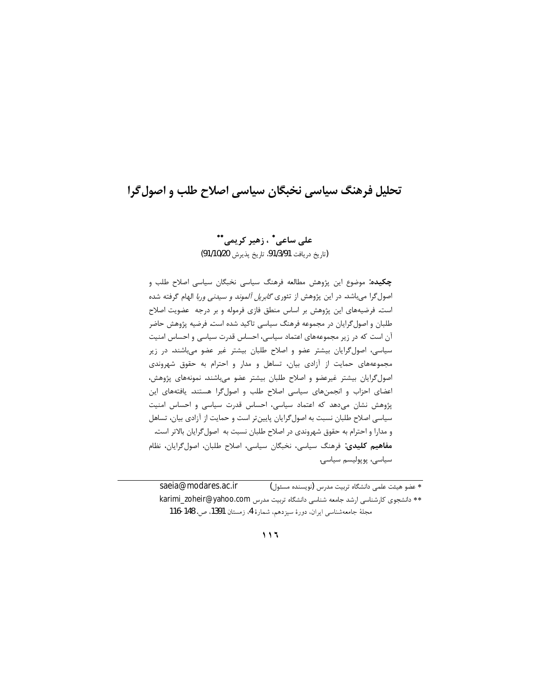# تحلیل فرهنگ سیاسی نخبگان سیاسی اصلاح طلب و اصول گرا

علي ساعي\* ، زهير کريمي\*\* (تاريخ دريافت 91/3/91، تاريخ پذيرش 91/10/20)

چکیده: موضوع این پژوهش مطالعه فرهنگ سیاسی نخبگان سیاسی اصلاح طلب و اصول گرا میباشد. در این پژوهش از تئوری گلبریل *آلموند و سیدنی وربا* الهام گرفته شده است. فرضیههای این پژوهش بر اساس منطق فازی فرموله و بر درجه عضویت اصلاح طلبان و اصول گرایان در مجموعه فرهنگ سیاسی تاکید شده است. فرضیه پژوهش حاضر آن است که در زیر مجموعههای اعتماد سیاسی، احساس قدرت سیاسی و احساس امنیت سیاسی، اصول گرایان بیشتر عضو و اصلاح طلبان بیشتر غیر عضو میباشند. در زیر مجموعههای حمایت از آزادی بیان، تساهل و مدار و احترام به حقوق شهروندی اصول گرایان بیشتر غیرعضو و اصلاح طلبان بیشتر عضو میباشند. نمونههای پژوهش، اعضای احزاب و انجمنهای سیاسی اصلاح طلب و اصول گرا هستند. یافتههای این پژوهش نشان میدهد که اعتماد سیاسی، احساس قدرت سیاسی و احساس امنیت سیاسی اصلاح طلبان نسبت به اصول گرایان پایینتر است و حمایت از آزادی بیان، تساهل و مدارا و احترام به حقوق شهروندی در اصلاح طلبان نسبت به اصول گرایان بالاتر است. مفاهيم كليدى: فرهنگ سياسى، نخبگان سياسى، اصلاح طلبان، اصول گرايان، نظام سياسى، پوپوليسم سياسى.

saeia@modares.ac.ir \* عضو هيئت علمي دانشگاه تربيت مدرس (نويسنده مسئول) \*\* دانشجوی کارشناسی ارشد جامعه شناسی دانشگاه تربیت مدرس karimi\_zoheir@yahoo.com مجلة جامعه شناسي ايران، دورة سيزدهم، شمارة 4، زمستان 1391، ص. 148-116

 $\begin{array}{c} \n\end{array}$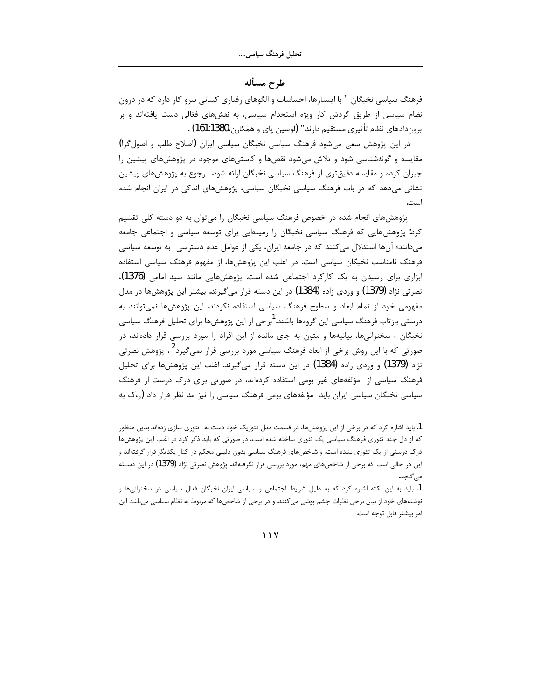## طرح مسأله

فرهنگ سیاسی نخبگان " با ایستارها، احساسات و الگوهای رفتاری کسانی سرو کار دارد که در درون نظام سیاسی از طریق گردش کار ویژه استخدام سیاسی، به نقشهای فعّالی دست یافتهاند و بر بروندادهاي نظام تأثيري مستقيم دارند" (لوسين پاي و همكارن،161:1380) .

در این پژوهش سعی میشود فرهنگ سیاسی نخبگان سیاسی ایران (اصلاح طلب و اصول گرا) مقایسه و گونهشناسی شود و تلاش میشود نقصها و کاستیهای موجود در پژوهشهای پیشین را جبران کرده و مقایسه دقیقتری از فرهنگ سیاسی نخبگان ارائه شود. رجوع به پژوهشهای پیشین نشانی میدهد که در باب فرهنگ سیاسی نخبگان سیاسی، پژوهش های اندکی در ایران انجام شده است.

پژوهشهای انجام شده در خصوص فرهنگ سیاسی نخبگان را می توان به دو دسته کلی تقسیم کرد: پژوهشهایی که فرهنگ سیاسی نخبگان را زمینهایی برای توسعه سیاسی و اجتماعی جامعه میدانند؛ آنها استدلال میکنند که در جامعه ایران، یکی از عوامل عدم دسترسی به توسعه سیاسی فرهنگ نامناسب نخبگان سیاسی است. در اغلب این پژوهشها، از مفهوم فرهنگ سیاسی استفاده ابزاری برای رسیدن به یک کارکرد اجتماعی شده است. پژوهشهایی مانند سید امامی (1376)، نصرتی نژاد (1379) و وردی زاده (1384) در این دسته قرار میگیرند. بیشتر این پژوهشها در مدل مفهومی خود از تمام ابعاد و سطوح فرهنگ سیاسی استفاده نکردند. این پژوهشها نمیتوانند به درستی بازتاب فرهنگ سیاسی این گروهها باشند. <sup>ا</sup>برخی از این پژوهشها برای تحلیل فرهنگ سیاسی نخبگان ، سخنرانیها، بیانیهها و متون به جای مانده از این افراد را مورد بررسی قرار دادهاند، در صورتی که با این روش برخی از ابعاد فرهنگ سیاسی مورد بررسی قرار نمی¢یرد<sup>2</sup> . پژوهش نصرتی نژاد (1379) و وردی زاده (1384) در این دسته قرار میگیرند. اغلب این پژوهشها برای تحلیل فرهنگ سیاسی از مؤلفههای غیر بومی استفاده کردهاند، در صورتی برای درک درست از فرهنگ سیاسی نخبگان سیاسی ایران باید مؤلفههای بومی فرهنگ سیاسی را نیز مد نظر قرار داد (50 به

 $11V$ 

<sup>1.</sup> باید اشاره کرد که در برخی از این پژوهشها، در قسمت مدل تئوریک خود دست به تئوری سازی زدهاند بدین منظور که از دل چند تئوری فرهنگ سیاسی یک تئوری ساخته شده است، در صورتی که باید ذکر کرد در اغلب این پژوهشها درک درستی از یک تئوری نشده است. و شاخصهای فرهنگ سیاسی بدون دلیلی محکم در کنار یکدیگر قرار گرفتهاند و این در حالی است که برخی از شاخصهای مهم، مورد بررسی قرار نگرفتهاند. پژوهش نصرتی نژاد (1379) در این دســته مے گنجد.

<sup>1.</sup> باید به این نکته اشاره کرد که به دلیل شرایط اجتماعی و سیاسی ایران نخبگان فعال سیاسی در سخنرانیها و نوشتههای خود از بیان برخی نظرات چشم پوشی می کنند. و در برخی از شاخصها که مربوط به نظام سیاسی میباشد این امر بيشتر قابل توجه است.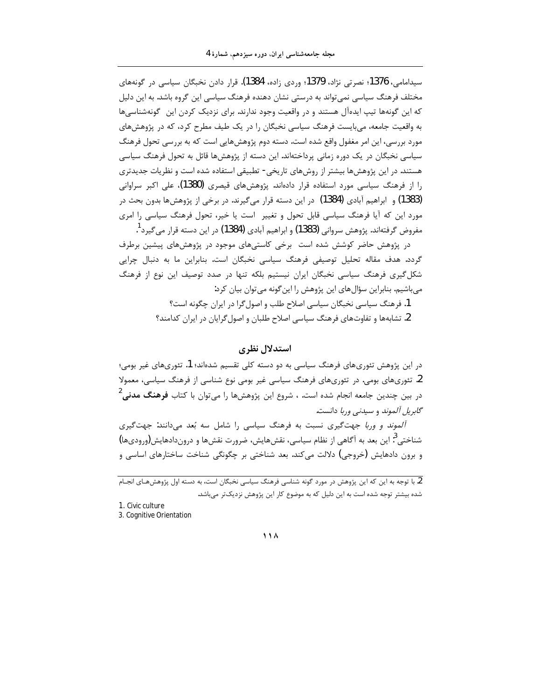سیدامامی، 1376؛ نصرتی نژاد، 1379؛ وردی زاده، 1384). قرار دادن نخبگان سیاسی در گونههای مختلف فرهنگ سیاسی نمی تواند به درستی نشان دهنده فرهنگ سیاسی این گروه باشد. به این دلیل که این گونهها تیپ ایدهآل هستند و در واقعیت وجود ندارند. برای نزدیک کردن این گونهشناسیها به واقعیت جامعه، میبایست فرهنگ سیاسی نخبگان را در یک طیف مطرح کرد، که در پژوهشهای مورد بررسی، این امر مغفول واقع شده است. دسته دوم پژوهشهایی است که به بررسی تحول فرهنگ سیاسی نخبگان در یک دوره زمانی پرداختهاند. این دسته از پژوهشها قائل به تحول فرهنگ سیاسی هستند. در این پژوهشها بیشتر از روشهای تاریخی- تطبیقی استفاده شده است و نظریات جدیدتری را از فرهنگ سیاسی مورد استفاده قرار دادهاند. پژوهشهای قیصری (1380)، علی اکبر سراوانی (1383) و ابراهیم آبادی (1384) در این دسته قرار میگیرند. در برخی از پژوهشها بدون بحث در مورد این که آیا فرهنگ سیاسی قابل تحول و تغییر است یا خیر، تحول فرهنگ سیاسی را امری مفروض گرفتهاند. پژوهش سروانی (1383) و ابراهیم آبادی (1384) در این دسته قرار می گیرد <sup>1</sup>.

در یژوهش حاضر کوشش شده است برخی کاستیهای موجود در پژوهشهای پیشین برطرف گردد. هدف مقاله تحلیل توصیفی فرهنگ سیاسی نخبگان است. بنابراین ما به دنبال چرایی شکل گیری فرهنگ سیاسی نخبگان ایران نیستیم بلکه تنها در صدد توصیف این نوع از فرهنگ میباشیم. بنابراین سؤال های این پژوهش را این گونه می توان بیان کرد:

> 1. فرهنگ سیاسی نخبگان سیاسی اصلاح طلب و اصول گرا در ایران چگونه است؟ 2. تشابهها و تفاوتهای فرهنگ سیاسی اصلاح طلبان و اصول گرایان در ایران کدامند؟

### استدلال نظري

در این پژوهش تئوریهای فرهنگ سیاسی به دو دسته کلی تقسیم شدهاند؛ 1. تئوریهای غیر بومی؛ 2. تئوریهای بومی. در تئوریهای فرهنگ سیاسی غیر بومی نوع شناسی از فرهنگ سیاسی، معمولا در بین چندین جامعه انجام شده است. ، شروع این پژوهشها را می¤وان با کتاب **فرهنگ مدنی<sup>2</sup>** گابریل آلموند و سیدنی وربا دانست.

آلموند و وربا جهت گیری نسبت به فرهنگ سیاسی را شامل سه بُعد می دانند: جهت گیری شناختی<sup>3</sup>: این بعد به آگاهی از نظام سیاسی، نقشهایش، ضرورت نقشها و دروندادهایش(ورودیها) و برون دادهایش (خروجی) دلالت میکند. بعد شناختی بر چگونگی شناخت ساختارهای اساسی و

2. با توجه به این که این پژوهش در مورد گونه شناسی فرهنگ سیاسی نخبگان است، به دسته اول پژوهشهـای انجـام شده بیشتر توجه شده است به این دلیل که به موضوع کار این پژوهش نزدیکتر میباشد.

1. Civic culture

3. Cognitive Orientation

 $\bigwedge$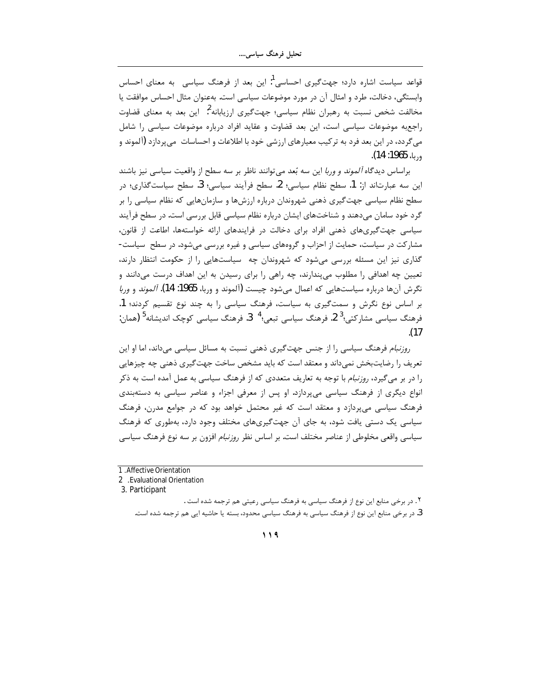قواعد سیاست اشاره دارد؛ جهتگیری احساسی<sup>1</sup>: این بعد از فرهنگ سیاسی۔ به معنای احساس وابستگی، دخالت، طرد و امثال آن در مورد موضوعات سیاسی است. بهعنوان مثال احساس موافقت یا مخالفت شخص نسبت به رهبران نظام سیاسی؛ جهتگیری ارزیابانه <sup>2</sup>: این بعد به معنای قضاوت راجع به موضوعات سیاسی است، این بعد قضاوت و عقاید افراد درباره موضوعات سیاسی را شامل می گردد، در این بعد فرد به تر کیب معیارهای ارزشی خود با اطلاعات و احساسات می پردازد (آلموند و وربا، 1965: 14).

براساس دیدگاه *آلموند و وربا* این سه بُعد می توانند ناظر بر سه سطح از واقعیت سیاسی نیز باشند این سه عبارتاند از: 1. سطح نظام سیاسی؛ 2. سطح فرآیند سیاسی؛ 3. سطح سیاستگذاری؛ در سطح نظام سیاسی جهت گیری ذهنی شهروندان درباره ارزشها و سازمانهایی که نظام سیاسی را بر گرد خود سامان میدهند و شناختهای ایشان درباره نظام سیاسی قابل بررسی است. در سطح فرآیند سیاسی جهت گیریهای ذهنی افراد برای دخالت در فرایندهای ارائه خواستهها، اطاعت از قانون، مشارکت در سیاست، حمایت از احزاب و گروههای سیاسی و غیره بررسی می شود. در سطح سیاست-گذاری نیز این مسئله بررسی میشود که شهروندان چه سیاستهایی را از حکومت انتظار دارند، تعیین چه اهدافی را مطلوب میپندارند، چه راهی را برای رسیدن به این اهداف درست میدانند و نگرش آنها درباره سیاستهایی که اعمال میشود چیست (آلموند و وربا، 1965: 14). *آلموند* و *وربا* بر اساس نوع نگرش و سمتگیری به سیاست، فرهنگ سیاسی را به چند نوع تقسیم کردند؛ 1. فرهنگ سیاسی مشارکتی؛<sup>3</sup> 2. فرهنگ سیاسی تبعی؛<sup>4</sup> 3. فرهنگ سیاسی کوچک اندیشانه<sup>5</sup> (همان:  $(17)$ 

ر*وزنبام* فرهنگ سیاسی را از جنس جهت گیری ذهنی نسبت به مسائل سیاسی میداند، اما او این تعریف را رضایتبخش نمی داند و معتقد است که باید مشخص ساخت جهت گیری ذهنی چه چیزهایی را در بر میگیرد، *روزنبام* با توجه به تعاریف متعددی که از فرهنگ سیاسی به عمل آمده است به ذکر انواع دیگری از فرهنگ سیاسی میپردازد. او پس از معرفی اجزاء و عناصر سیاسی به دستهبندی فرهنگ سیاسی می پردازد و معتقد است که غیر محتمل خواهد بود که در جوامع مدرن، فرهنگ سیاسی یک دستی یافت شود، به جای آن جهتگیریهای مختلف وجود دارد، بهطوری که فرهنگ سیاسی واقعی مخلوطی از عناصر مختلف است. بر اساس نظر ر*وزنبام* افزون بر سه نوع فرهنگ سیاسی

<sup>1</sup> Affective Orientation

<sup>2 .</sup>Evaluational Orientation

<sup>3.</sup> Participant

۲. در برخی منابع این نوع از فرهنگ سیاسی به فرهنگ سیاسی رعیتی هم ترجمه شده است . 3. در برخی منابع این نوع از فرهنگ سیاسی به فرهنگ سیاسی محدود، بسته یا حاشیه ایی هم ترجمه شده است.

 $119$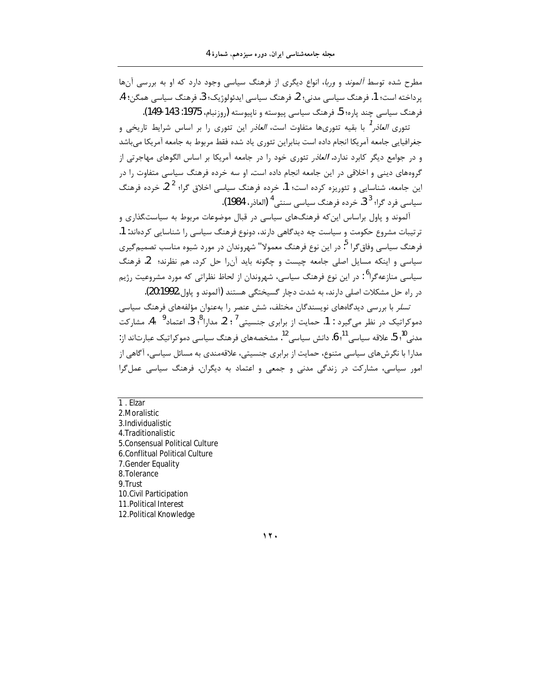مطرح شده توسط *آلموند* و *وربا*، انواع دیگری از فرهنگ سیاسی وجود دارد که او به بررسی آنها ير داخته است؛ 1. فرهنگ سياسي مدني؛ 2. فرهنگ سياسي ايدئولوژيک؛ 3. فرهنگ سياسي همگن؛ 4. فرهنگ سياسي چند ياره؛ 5. فرهنگ سياسي پيوسته و ناپيوسته (روزنبام، 1975: 143-149).

تئوری *العاذر <sup>1</sup>* با بقیه تئوریها متفاوت است، *العاذ*ر این تئوری را بر اساس شرایط تاریخی و جغرافیایی جامعه آمریکا انجام داده است بنابراین تئوری یاد شده فقط مربوط به جامعه آمریکا می باشد و در جوامع دیگر کابرد ندارد. *العاذر* تئوری خود را در جامعه آمریکا بر اساس الگوهای مهاجرتی از گروههای دینی و اخلاقی در این جامعه انجام داده است. او سه خرده فرهنگ سیاسی متفاوت را در این جامعه، شناسایی و تئوریزه کرده است؛ 1. خرده فرهنگ سیاسی اخلاق گرا؛ <sup>2</sup> 2. خرده فرهنگ سياسي فرد گرا؛ <sup>3</sup> 3. خرده فرهنگ سياسي سنتي <sup>4</sup> (العاذر، 1984).

آلموند و پاول براساس این که فرهنگهای سیاسی در قبال موضوعات مربوط به سیاستگذاری و ترتیبات مشروع حکومت و سیاست چه دیدگاهی دارند، دونوع فرهنگ سیاسی را شناسایی کردهاند: 1. فرهنگ سیاسی وفاق گرا <sup>۹</sup>: در این نوع فرهنگ معمولا" شهروندان در مورد شیوه مناسب تصمیم *گ*یری سیاسی و اینکه مسایل اصلی جامعه چیست و چگونه باید آن را حل کرد، هم نظرند؛ 2. فرهنگ سیاسی منازعه *گ*را<sup>6</sup> : در این نوع فرهنگ سیاسی، شهروندان از لحاظ نظراتی که مورد مشروعیت رژیم در راه حل مشکلات اصلی دارند، به شدت دچار گسیختگی هستند (آلموند و پاول،1992.(20).

تسلر با بررسی دیدگاههای نویسندگان مختلف، شش عنصر را بهعنوان مؤلفههای فرهنگ سیاسی دموکراتیک در نظر میگیرد : 1. حمایت از برابری جنسیتی<sup>7</sup> ؛ 2. مدارا<sup>8</sup>؛ 3. اعتماد<sup>9</sup> 4. مشارکت مدنی "؛ 5. علاقه سیاسی <sup>11</sup>، 6. دانش سیاسی <sup>12</sup>. مشخصههای فرهنگ سیاسی دموکراتیک عبارتاند از: مدارا با نگرشهای سیاسی متنوع، حمایت از برابری جنسیتی، علاقهمندی به مسائل سیاسی، آگاهی از امور سیاسی، مشارکت در زندگی مدنی و جمعی و اعتماد به دیگران. فرهنگ سیاسی عمل گرا

 $1. Eizar$ 2. Moralistic 3.Individualistic 4. Traditionalistic 5. Consensual Political Culture 6.Conflitual Political Culture 7. Gender Equality 8.Tolerance 9.Trust 10. Civil Participation 11. Political Interest 12. Political Knowledge

 $11.$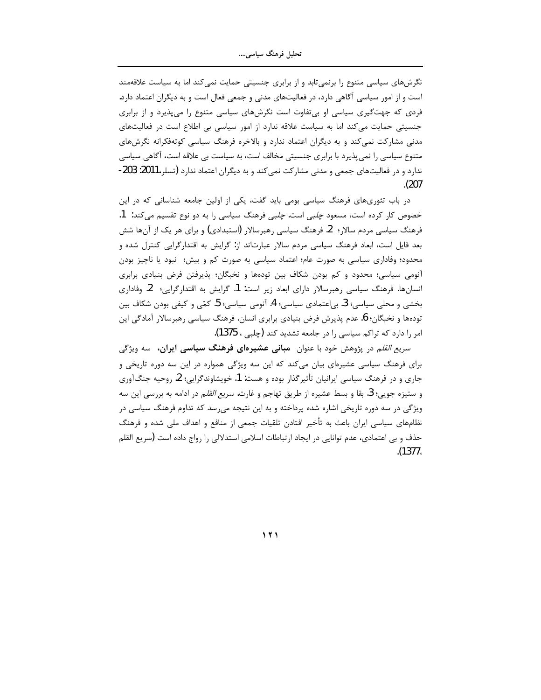نگرشهای سیاسی متنوع را برنمیتابد و از برابری جنسیتی حمایت نمی کند اما به سیاست علاقهمند است و از امور سیاسی آگاهی دارد، در فعالیتهای مدنی و جمعی فعال است و به دیگران اعتماد دارد. فردی که جهتگیری سیاسی او بی تفاوت است نگرشهای سیاسی متنوع را می پذیرد و از برابری جنسیتی حمایت میکند اما به سیاست علاقه ندارد از امور سیاسی بی اطلاع است در فعالیتهای مدنی مشارکت نمی کند و به دیگران اعتماد ندارد و بالاخره فرهنگ سیاسی کوتهفکرانه نگرشهای متنوع سیاسی را نمی پذیرد با برابری جنسیتی مخالف است، به سیاست بی علاقه است، آگاهی سیاسی ندارد و در فعالیتهای جمعی و مدنی مشارکت نمی کند و به دیگران اعتماد ندارد (تسلر،2011: 203-.(207

در باب تئوریهای فرهنگ سیاسی بومی باید گفت، یکی از اولین جامعه شناسانی که در این خصوص کار کرده است، مسعود *چلبی* است. *چلبی* فرهنگ سیاسی را به دو نوع تقسیم میکند: 1. فرهنگ سیاسی مردم سالار؛ 2. فرهنگ سیاسی رهبرسالار (استبدادی) و برای هر یک از آنها شش بعد قایل است، ابعاد فرهنگ سیاسی مردم سالار عبارتاند از: گرایش به اقتدارگرایی کنترل شده و محدود؛ وفاداری سیاسی به صورت عام؛ اعتماد سیاسی به صورت کم و بیش؛ نبود یا ناچیز بودن آنومی سیاسی؛ محدود و کم بودن شکاف بین تودهها و نخبگان؛ پذیرفتن فرض بنیادی برابری انسانها. فرهنگ سیاسی رهبرسالار دارای ابعاد زیر است: 1. گرایش به اقتدارگرایی؛ 2. وفاداری بخشی و محلی سیاسی؛ 3. بی|عتمادی سیاسی؛ 4. آنومی سیاسی؛ 5. کمّی و کیفی بودن شکاف بین تودهها و نخبگان؛ 6. عدم پذیرش فرض بنیادی برابری انسان. فرهنگ سیاسی رهبرسالار آمادگی این امر را دارد که تراکم سیاسی را در جامعه تشدید کند (چلبی ، 1375).

سر*یع القل*م در پژوهش خود با عنوان ه**بانی عشیرهای فرهنگ سیاسی ایران،** سه ویژگی برای فرهنگ سیاسی عشیرهای بیان میکند که این سه ویژگی همواره در این سه دوره تاریخی و جاری و در فرهنگ سیاسی ایرانیان تأثیرگذار بوده و هست: 1. خویشاوندگرایی؛ 2. روحیه جنگآوری و ستيزه جويى؛ 3. بقا و بسط عشيره از طريق تهاجم و غارت. *سريع القل*م در ادامه به بررسي اين سه ویژگی در سه دوره تاریخی اشاره شده پرداخته و به این نتیجه میرسد که تداوم فرهنگ سیاسی در نظامهای سیاسی ایران باعث به تأخیر افتادن تلقیات جمعی از منافع و اهداف ملی شده و فرهنگ حذف و بی اعتمادی، عدم توانایی در ایجاد ارتباطات اسلامی استدلالی را رواج داده است (سریع القلم .(1377,

**˺˻˺**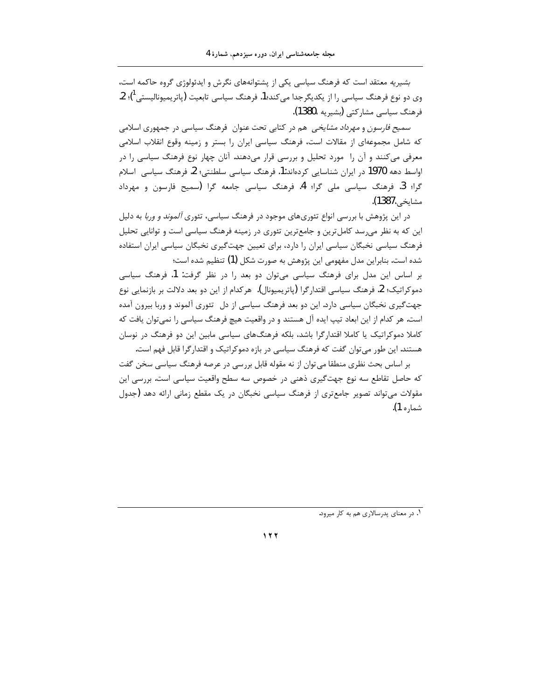بشیریه معتقد است که فرهنگ سیاسی یکی از پشتوانههای نگرش و ایدئولوژی گروه حاکمه است، وی دو نوع فرهنگ سیاسی را از یکدیگرجدا می2ند؛1. فرهنگ سیاسی تابعیت (پاتریمیونالیستی 1)؛ 2. فرهنگ سياسي مشاركتي (بشيريه ،1380).

سمی*ح فارسون و مهرداد مشایخی* هم در کتابی تحت عنوان فرهنگ سیاسی در جمهوری اسلامی که شامل مجموعهای از مقالات است، فرهنگ سیاسی ایران را بستر و زمینه وقوع انقلاب اسلامی معرفی میکنند و آن را مورد تحلیل و بررسی قرار میدهند. آنان چهار نوع فرهنگ سیاسی را در اواسط دهه 1970 در ایران شناسایی کردهاند:1. فرهنگ سیاسی سلطنتی؛ 2. فرهنگ سیاسی اسلام گرا؛ 3. فرهنگ سیاسی ملی گرا؛ 4. فرهنگ سیاسی جامعه گرا (سمیح فارسون و مهرداد مشاي*خي،*1387).

در این پژوهش با بررسی انواع تئوریهای موجود در فرهنگ سیاسی، تئوری *آلموند و وربا* به دلیل این که به نظر میرسد کامل ترین و جامعترین تئوری در زمینه فرهنگ سیاسی است و توانایی تحلیل فرهنگ سیاسی نخبگان سیاسی ایران را دارد، برای تعیین جهتگیری نخبگان سیاسی ایران استفاده شده است. بنابراین مدل مفهومی این پژوهش به صورت شکل (1) تنظیم شده است؛

بر اساس این مدل برای فرهنگ سیاسی میتوان دو بعد را در نظر گرفت: 1. فرهنگ سیاسی دموکراتیک؛ 2. فرهنگ سیاسی اقتدار گرا (یاتریمیونال). هرکدام از این دو بعد دلالت بر بازنمایی نوع جهت گیری نخبگان سیاسی دارد. این دو بعد فرهنگ سیاسی از دل "تئوری آلموند و وربا بیرون آمده است. هر کدام از این ابعاد تیپ ایده آل هستند و در واقعیت هیچ فرهنگ سیاسی را نمی توان یافت که کاملا دموکراتیک یا کاملا اقتدارگرا باشد، بلکه فرهنگهای سیاسی مابین این دو فرهنگ در نوسان هستند. این طور میتوان گفت که فرهنگ سیاسی در بازه دموکراتیک و اقتدارگرا قابل فهم است.

بر اساس بحث نظری منطقا می توان از نه مقوله قابل بررسی در عرصه فرهنگ سیاسی سخن گفت که حاصل تقاطع سه نوع جهت گیری ذهنی در خصوص سه سطح واقعیت سیاسی است. بررسی این مقولات می تواند تصویر جامع تری از فرهنگ سیاسی نخبگان در یک مقطع زمانی ارائه دهد (جدول شماره 1).

١. در معنای پدرسالاری هم به کار میرود.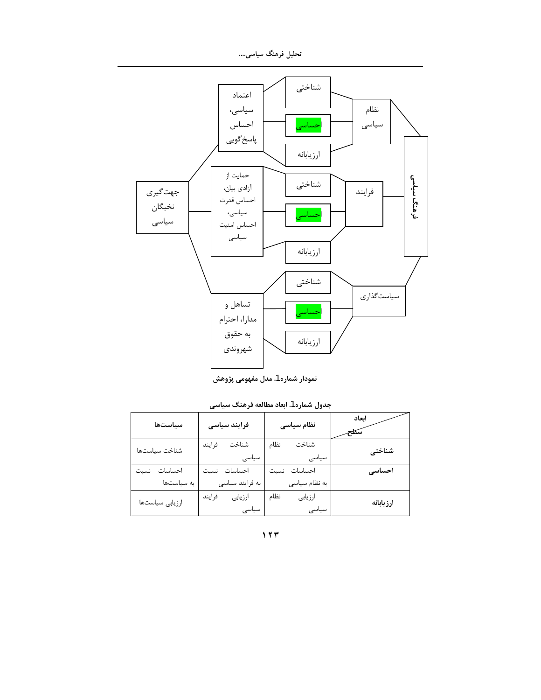تحلیل فرهنگ سیاسی....



نمودار شماره 1. مدل مفهومی پژوهش

| جدول شماره 1. ابعاد مطالعه فرهنگ سیاسی |  |  |  |
|----------------------------------------|--|--|--|
|----------------------------------------|--|--|--|

| سياستها         | فرایند سیاسی               | نظام سیاسی               | اىعاد<br>سكلح |
|-----------------|----------------------------|--------------------------|---------------|
| شناخت سياستها   | شناخت<br>فرايند<br>سیاسی   | شناخت<br>نظام<br>سیاسی   | شناختی        |
| احساسات نسبت    | احساسات نسبت               | احساسات نسبت             | احساسی        |
| به سیاستها      | به فرایند سیاسی            | به نظام سیاسی            |               |
| ارزيابى سياستها | فرايند<br>ارزيابي<br>سیاسی | نظام<br>ارزيابي<br>سیاسی | ارزيابانه     |

 $177$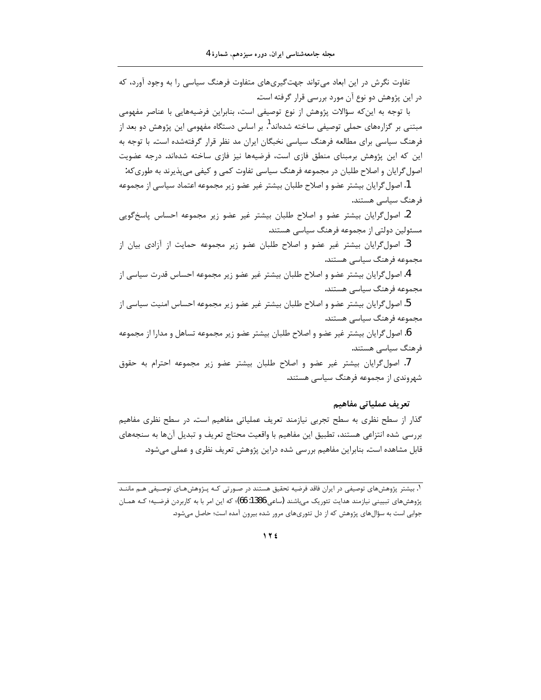تفاوت نگرش در این ابعاد می تواند جهت گیریهای متفاوت فرهنگ سیاسی را به وجود آورد، که در این پژوهش دو نوع آن مورد بررسی قرار گرفته است.

با توجه به این که سؤالات پژوهش از نوع توصیفی است، بنابراین فرضیههایی با عناصر مفهومی مبتنی بر گزارههای حملی توصیفی ساخته شدهاند<sup>1</sup>. بر اساس دستگاه مفهومی این پژوهش دو بعد از فرهنگ سیاسی برای مطالعه فرهنگ سیاسی نخبگان ایران مد نظر قرار گرفتهشده است. با توجه به این که این پژوهش برمبنای منطق فازی است، فرضیهها نیز فازی ساخته شدهاند. درجه عضویت اصول گرایان و اصلاح طلبان در مجموعه فرهنگ سیاسی تفاوت کمی و کیفی می پذیرند به طوری که:

1.اصول گرایان بیشتر عضو و اصلاح طلبان بیشتر غیر عضو زیر مجموعه اعتماد سیاسی از مجموعه فرهنگ سیاسی هستند.

2. اصول گرایان بیشتر عضو و اصلاح طلبان بیشتر غیر عضو زیر مجموعه احساس پاسخگویی مسئولین دولتی از مجموعه فرهنگ سیاسی هستند.

3. اصول گرایان بیشتر غیر عضو و اصلاح طلبان عضو زیر مجموعه حمایت از آزادی بیان از مجموعه فرهنگ سیاسی هستند.

4. اصول گرایان بیشتر عضو و اصلاح طلبان بیشتر غیر عضو زیر مجموعه احساس قدرت سیاسی از مجموعه فرهنگ سیاسی هستند.

5. اصول گرایان بیشتر عضو و اصلاح طلبان بیشتر غیر عضو زیر مجموعه احساس امنیت سیاسی از مجموعه فرهنگ سیاسی هستند.

6. اصول گرایان بیشتر غیر عضو و اصلاح طلبان بیشتر عضو زیر مجموعه تساهل و مدارا از مجموعه فرهنگ سیاسی هستند.

7. اصول گرایان بیشتر غیر عضو و اصلاح طلبان بیشتر عضو زیر مجموعه احترام به حقوق شهروندی از مجموعه فرهنگ سیاسی هستند.

### تعريف عملياتي مفاهيم

گذار از سطح نظری به سطح تجربی نیازمند تعریف عملیاتی مفاهیم است. در سطح نظری مفاهیم بررسی شده انتزاعی هستند، تطبیق این مفاهیم با واقعیت محتاج تعریف و تبدیل آنها به سنجههای قابل مشاهده است. بنابراین مفاهیم بررسی شده دراین پژوهش تعریف نظری و عملی میشود.

۱. بیشتر پژوهشهای توصیفی در ایران فاقد فرضیه تحقیق هستند در صـورتی کـه پـژوهشهـای توصـیفی هـم ماننـد پژوهشهای تبیینی نیازمند هدایت تئوریک میباشند (ساعی:1386: 66)؛ که این امر با به کاربردن فرضیه؛ کـه همـان جوابی است به سؤالهای پژوهش که از دل تئوریهای مرور شده بیرون آمده است؛ حاصل میشود.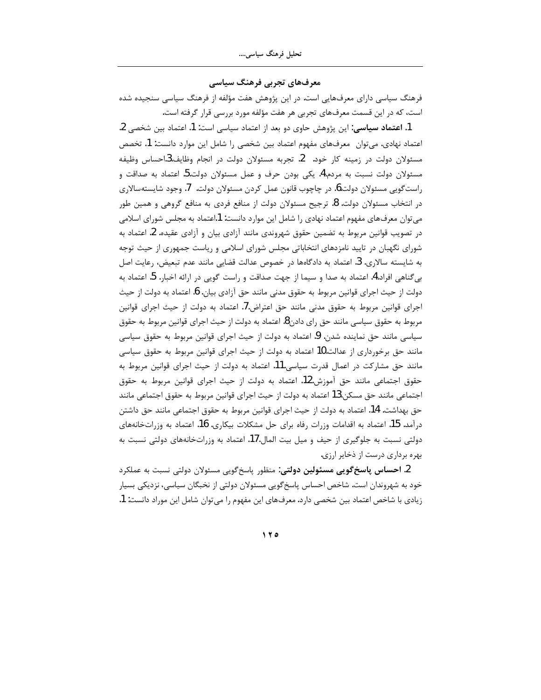معرفهای تجربی فرهنگ سیاسی

فرهنگ سیاسی دارای معرفهایی است. در این پژوهش هفت مؤلفه از فرهنگ سیاسی سنجیده شده است، که در این قسمت معرفهای تجربی هر هفت مؤلفه مورد بررسی قرار گرفته است.

1. اعتماد سیاسی: این پژوهش حاوی دو بعد از اعتماد سیاسی است: 1. اعتماد بین شخصی 2. اعتماد نهادي. مي توان معرفهاي مفهوم اعتماد بين شخصي را شامل اين موارد دانست: 1. تخصص مسئولان دولت در زمینه کار خود. 2. تجربه مسئولان دولت در انجام وظایف.3احساس وظیفه مسئولان دولت نسبت به مردم.4. یکی بودن حرف و عمل مسئولان دولت.5 اعتماد به صداقت و راست گویی مسئولان دولت.6. در چاچوب قانون عمل کردن مسئولان دولت. 7. وجود شایستهسالاری در انتخاب مسئولان دولت. 8. ترجیح مسئولان دولت از منافع فردی به منافع گروهی و همین طور می توان معرفهای مفهوم اعتماد نهادی را شامل این موارد دانست: 1اعتماد به مجلس شورای اسلامی در تصویب قوانین مربوط به تضمین حقوق شهروندی مانند آزادی بیان و آزادی عقیده. 2. اعتماد به شورای نگهبان در تایید نامزدهای انتخاباتی مجلس شورای اسلامی و ریاست جمهوری از حیث توجه به شایسته سالاری. 3. اعتماد به دادگاهها در خصوص عدالت قضایی مانند عدم تبعیض، رعایت اصل بی گناهی افراد.4. اعتماد به صدا و سیما از جهت صداقت و راست گویی در ارائه اخبار. 5. اعتماد به دولت از حيث اجراي قوانين مربوط به حقوق مدني مانند حق آزادي بيان. 6. اعتماد به دولت از حيث اجرای قوانین مربوط به حقوق مدنی مانند حق اعتراض.7. اعتماد به دولت از حیث اجرای قوانین مربوط به حقوق سیاسی مانند حق رای دادن8. اعتماد به دولت از حیث اجرای قوانین مربوط به حقوق سیاسی مانند حق نماینده شدن. 9. اعتماد به دولت از حیث اجرای قوانین مربوط به حقوق سیاسی مانند حق برخورداری از عدالت.10 اعتماد به دولت از حیث اجرای قوانین مربوط به حقوق سیاسی مانند حق مشارکت در اعمال قدرت سیاسی.11. اعتماد به دولت از حیث اجرای قوانین مربوط به حقوق اجتماعی مانند حق آموزش.12. اعتماد به دولت از حیث اجرای قوانین مربوط به حقوق اجتماعي مانند حق مسكن.13 اعتماد به دولت از حيث اجراي قوانين مربوط به حقوق اجتماعي مانند حق بهداشت. 14. اعتماد به دولت از حيث اجراي قوانين مربوط به حقوق اجتماعي مانند حق داشتن درآمد. 15. اعتماد به اقدامات وزرات رفاه برای حل مشکلات بیکاری. 16. اعتماد به وزراتخانههای دولتی نسبت به جلوگیری از حیف و میل بیت المال.17. اعتماد به وزراتخانههای دولتی نسبت به بهره برداری درست از ذخایر ارزی.

2. احساس پاسخگویی مسئولین دولتی: منظور پاسخگویی مسئولان دولتی نسبت به عملکرد خود به شهروندان است. شاخص احساس پاسخگویی مسئولان دولتی از نخبگان سیاسی، نزدیکی بسیار زيادي با شاخص اعتماد بين شخصي دارد. معرفهاي اين مفهوم را مي توان شامل اين موراد دانست: 1.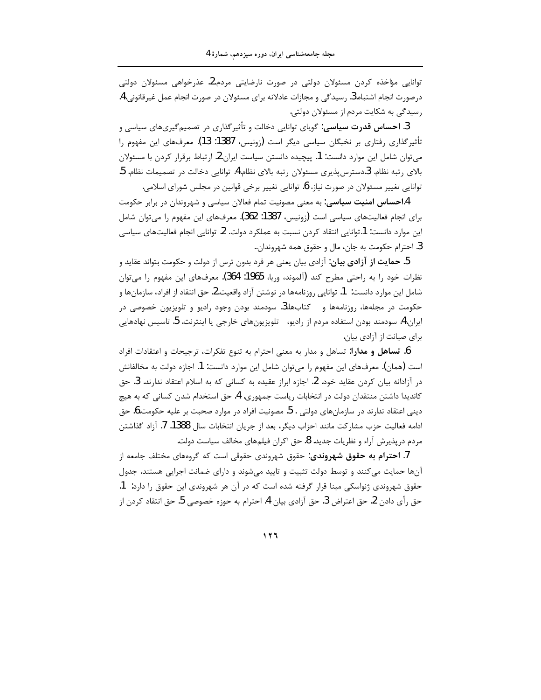توانایی مؤاخذه کردن مسئولان دولتی در صورت نارضایتی مردم.2. عذرخواهی مسئولان دولتی درصورت انجام اشتباه.3. رسیدگی و مجازات عادلانه برای مسئولان در صورت انجام عمل غیرقانونی.4. رسیدگی به شکایت مردم از مسئولان دولتی.

3. **احساس قدرت سیاسی**: گویای توانایی دخالت و تأثیرگذاری در تصمیمگیریهای سیاسی و تأثیرگذاری رفتاری بر نخبگان سیاسی دیگر است (زونیس، 1387: 13). معرفهای این مفهوم ,ا میتوان شامل این موارد دانست: 1. پیچیده دانستن سیاست ایران.2. ارتباط برقرار کردن با مسئولان بالای رتبه نظام. 3دسترس پذیری مسئولان رتبه بالای نظام.4. توانایی دخالت در تصمیمات نظام. 5. توانایی تغییر مسئولان در صورت نیاز. 6. توانایی تغییر برخی قوانین در مجلس شورای اسلامی.

4.ا**حساس امنیت سیاسی**: به معنی مصونیت تمام فعالان سیاسی و شهروندان در برابر حکومت برای انجام فعالیتهای سیاسی است (زونیس، 1387: 362). معرفهای این مفهوم را میتوان شامل این موارد دانست: 1.توانایی انتقاد کردن نسبت به عملکرد دولت. 2. توانایی انجام فعالیتهای سیاسی 3. احترام حکومت به جان، مال و حقوق همه شهروندان..

5. **حمایت از آزادی بیان**: آزادی بیان یعنی هر فرد بدون ترس از دولت و حکومت بتواند عقاید و نظرات خود را به راحتی مطرح کند (آلموند، وربا، 1965: 364). معرفهای این مفهوم را میتوان شامل این موارد دانست: 1. توانایی روزنامهها در نوشتن آزاد واقعیت.2. حق انتقاد از افراد، سازمان ها و حکومت در مجلهها، روزنامهها و سکتابها.3. سودمند بودن وجود رادیو و تلویزیون خصوصی در ايران.4. سودمند بودن استفاده مردم از راديو، تلويزيونهاي خارجي يا اينترنت. 5. تاسيس نهادهايي برای صیانت از آزادی بیان.

6. تساهل و مدارا: تساهل و مدار به معنى احترام به تنوع تفكرات، ترجيحات و اعتقادات افراد است (همان). معرفهای این مفهوم را می¤وان شامل این موارد دانست: 1. اجازه دولت به مخالفانش در آزادانه بیان کردن عقاید خود. 2. اجازه ابراز عقیده به کسانی که به اسلام اعتقاد ندارند. 3. حق کاندیدا داشتن منتقدان دولت در انتخابات ریاست جمهوری. 4. حق استخدام شدن کسانی که به هیچ ديني اعتقاد ندارند در سازمانهاي دولتي . 5. مصونيت افراد در موارد صحبت بر عليه حكومت.6. حق ادامه فعالیت حزب مشارکت مانند احزاب دیگر، بعد از جریان انتخابات سال 1388. 7. آزاد گذاشتن مردم درپذیرش آراء و نظریات جدید. 8. حق اکران فیلمهای مخالف سیاست دولت.

7. **احترام به حقوق شهروندي:** حقوق شهروندي حقوقي است كه گروههاي مختلف جامعه از آنها حمایت میکنند و توسط دولت تثبیت و تایید می شوند و دارای ضمانت اجرایی هستند. جدول حقوق شهروندی ژنواسکی مبنا قرار گرفته شده است که در آن هر شهروندی این حقوق را دارد: 1. حق رأى دادن 2. حق اعتراض 3. حق آزادي بيان 4. احترام به حوزه خصوصي 5. حق انتقاد كردن از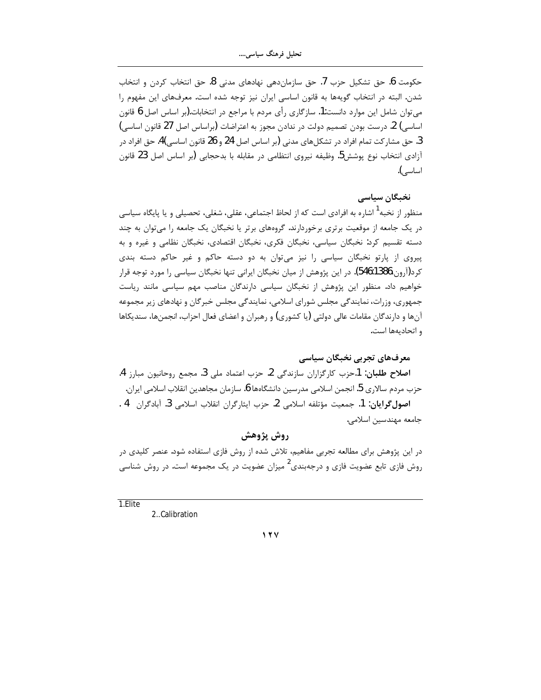حكومت 6. حق تشكيل حزب 7. حق سازماندهي نهادهاي مدني 8. حق انتخاب كردن و انتخاب شدن. البته در انتخاب گویهها به قانون اساسی ایران نیز توجه شده است. معرفهای این مفهوم را میتوان شامل این موارد دانست:1. سازگاری رأی مردم با مراجع در انتخابات.(بر اساس اصل 6 قانون اساسي) 2. درست بودن تصميم دولت در ندادن مجوز به اعتراضات (براساس اصل 27 قانون اساسي) 3. حق مشار كت تمام افراد در تشكلهاى مدنى (بر اساس اصل 24 و 26 قانون اساسى)4. حق افراد در آزادی انتخاب نوع پوشش5. وظیفه نیروی انتظامی در مقابله با بدحجابی (بر اساس اصل 23 قانون اساسے).

### نخبگان سیاسی

منظور از نخبه <sup>آ</sup> اشاره به افرادی است که از لحاظ اجتماعی، عقلی، شغلی، تحصیلی و یا پایگاه سیاسی در یک جامعه از موقعیت برتری برخوردارند. گروههای برتر یا نخبگان یک جامعه را میتوان به چند دسته تقسیم کرد: نخبگان سیاسی، نخبگان فکری، نخبگان اقتصادی، نخبگان نظامی و غیره و به پیروی از پارتو نخبگان سیاسی را نیز میتوان به دو دسته حاکم و غیر حاکم دسته بندی كرد(آرون،546:1386). در اين پژوهش از ميان نخبگان ايراني تنها نخبگان سياسي را مورد توجه قرار خواهیم داد. منظور این پژوهش از نخبگان سیاسی دارندگان مناصب مهم سیاسی مانند ریاست جمهوری، وزرات، نمایندگی مجلس شورای اسلامی، نمایندگی مجلس خبرگان و نهادهای زیر مجموعه آنها و دارندگان مقامات عالی دولتی (یا کشوری) و رهبران و اعضای فعال احزاب، انجمنها، سندیکاها و اتحادیهها است.

معرفهای تجربی نخبگان سیاسی

**اصلاح طلبان: 1**.حزب كارگزاران سازندگی 2. حزب اعتماد ملی 3. مجمع روحانیون مبارز 4. حزب مردم سالاري 5. انجمن اسلامي مدرسين دانشگاهها 6. سازمان مجاهدين انقلاب اسلامي ايران. اصول گرایان: 1. جمعیت مؤتلفه اسلامی 2. حزب ایثارگران انقلاب اسلامی 3. آبادگران 4. جامعه مهندسين اسلامي.

## روش پژوهش

در این پژوهش برای مطالعه تجربی مفاهیم، تلاش شده از روش فازی استفاده شود. عنصر کلیدی در روش فازی تابع عضویت فازی و درجهبندی<sup>2</sup> میزان عضویت در یک مجموعه است. در روش شناسی

1.Elite

2. Calibration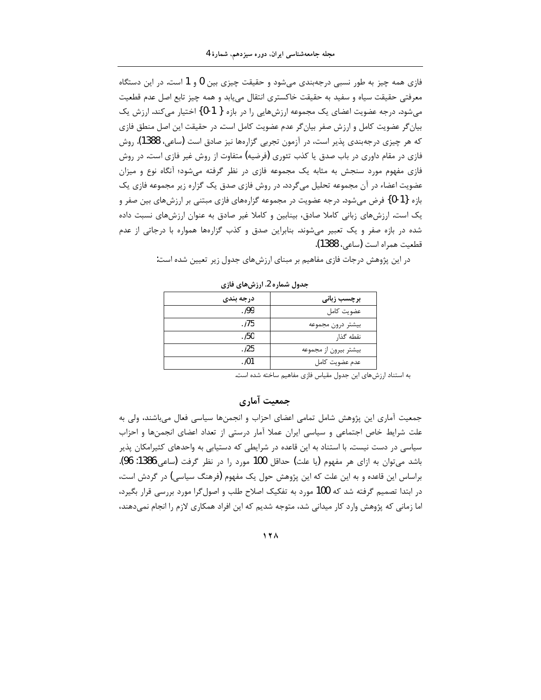فازی همه چیز به طور نسبی درجهبندی می شود و حقیقت چیزی بین 0 و 1 است. در این دستگاه معرفتی حقیقت سیاه و سفید به حقیقت خاکستری انتقال مییابد و همه چیز تابع اصل عدم قطعیت میشود. درجه عضویت اعضای یک مجموعه ارزشهایی را در بازه { 1-0} اختیار می کند. ارزش یک بیان گر عضویت کامل و ارزش صفر بیان گر عدم عضویت کامل است. در حقیقت این اصل منطق فازی که هر چیزی درجهبندی پذیر است، در آزمون تجربی گزارهها نیز صادق است (ساعی، 1388). روش فازی در مقام داوری در باب صدق یا کذب تئوری (فرضیه) متفاوت از روش غیر فازی است. در روش فازی مفهوم مورد سنجش به مثابه یک مجموعه فازی در نظر گرفته می شود؛ آنگاه نوع و میزان عضویت اعضاء در آن مجموعه تحلیل میگردد. در روش فازی صدق یک گزاره زیر مجموعه فازی یک بازه {1-0} فرض می شود. درجه عضویت در مجموعه گزارههای فازی مبتنی بر ارزشهای بین صفر و یک است. ارزشهای زبانی کاملا صادق، بینابین و کاملا غیر صادق به عنوان ارزشهای نسبت داده شده در بازه صفر و یک تعبیر میشوند. بنابراین صدق و کذب گزارهها همواره با درجاتی از عدم قطعيت همراه است (ساعي، 1388).

در این پژوهش درجات فازی مفاهیم بر مبنای ارزشهای جدول زیر تعیین شده است:

| درجه بندي | برچسب زبان <i>ی</i>   |
|-----------|-----------------------|
| . 199     | عضويت كامل            |
| .175      | بيشتر درون مجموعه     |
| . /50     | نقطه گذا,             |
| .125      | بیشتر بیرون از مجموعه |
| . /01     | عدم عضويت كامل        |

جدول شماره 2. ارزشهای فازی

به استناد ارزشهای این جدول مقیاس فازی مفاهیم ساخته شده است.

# جمعیت آماری

جمعیت آماری این پژوهش شامل تمامی اعضای احزاب و انجمنها سیاسی فعال میباشند، ولی به علت شرایط خاص اجتماعی و سیاسی ایران عملا آمار درستی از تعداد اعضای انجمنها و احزاب سیاسی در دست نیست. با استناد به این قاعده در شرایطی که دستیابی به واحدهای کثیرامکان پذیر باشد می¤وان به ازای هر مفهوم (یا علت) حداقل 100 مورد را در نظر گرفت (ساعی:1386: 96). براساس این قاعده و به این علت که این پژوهش حول یک مفهوم (فرهنگ سیاسی) در گردش است، در ابتدا تصمیم گرفته شد که 100 مورد به تفکیک اصلاح طلب و اصولگرا مورد بررسی قرار بگیرد، اما زمانی که پژوهش وارد کار میدانی شد، متوجه شدیم که این افراد همکاری لازم را انجام نمیدهند،

 $17<sub>A</sub>$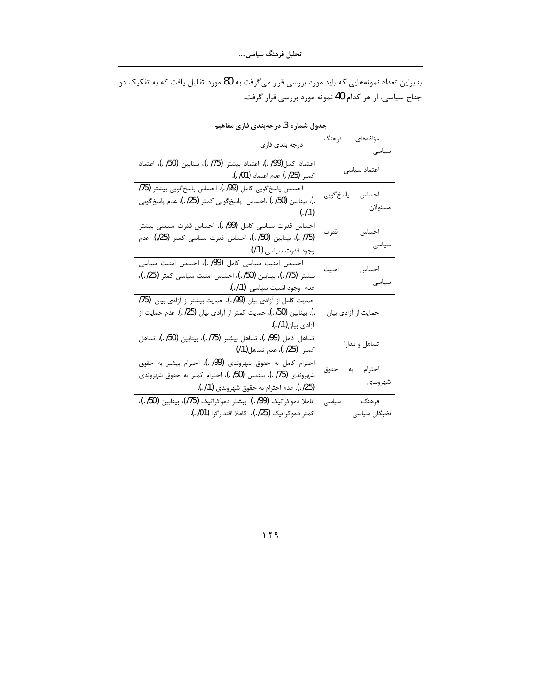بنابراین تعداد نمونههایی که باید مورد بررسی قرار میگرفت به 80 مورد تقلیل یافت که به تفکیک دو جناح سیاسی، از هر کدام 40 نمونه مورد بررسی قرار گرفت.

| درجه بندى فازى                                                      | مؤلفههاى<br>فرهنگ<br>سیاسی |
|---------------------------------------------------------------------|----------------------------|
| اعتماد كامل(99/ .)، اعتماد بيشتر (75/ .)، بينابين (50/ .)، اعتماد   |                            |
| كمتر (25/ .) عدم اعتماد (01/ .).                                    | اعتماد سياسى               |
| احساس پاسخ گویی کامل (99/ .)، احساس پاسخ گویی بیشتر (75/            |                            |
| .)، بینابین (50/ .) ،احساس پاسخگویی کمتر (25/ .)، عدم پاسخگویی      | احساس پاسخ گویی            |
| (.1.1)                                                              | مسئولان                    |
| احساس قدرت سیاسی کامل (99/ .)، احساس قدرت سیاسی بیشتر               | احساس                      |
| (175 .)، بينابين (50/ .)، احساس قدرت سياسي كمتر (25/)، عدم          | قدرت                       |
| وجود قدرت سياسي (1. ).                                              | سیاسی                      |
| احساس امنیت سیاسی کامل (99/ .)، احساس امنیت سیاسی                   | احساس                      |
| بيشتر (75. ـ)، بينابين (50/ .)، احساس امنيت سياسي كمتر (25/ .)،     | امنيت                      |
| عدم وجود امنيت سياسي (1./ .).                                       | سیاسی                      |
| حمایت کامل از آزادی بیان (99/ .)، حمایت بیشتر از آزادی بیان $(75)$  |                            |
| .)، بينابين (50/ .)، حمايت كمتر از آزادي بيان (25/ .)، عدم حمايت از | حمایت از آزادی بیان        |
| آزادي بيان(1 <i>.ا .).</i>                                          |                            |
| تساهل كامل (99/ .)، تساهل بيشتر (75/ .)، بينابين (50/ .)، تساهل     | تساهل و مدارا              |
| كمتر   (25/ .)، عدم تساهل(1./).                                     |                            |
| احترام کامل به حقوق شهروندی (99/ .)، احترام بیشتر به حقوق           | احترام به حقوق             |
| شهروندی (75/ .)، بینابین (50/ .)، احترام کمتر به حقوق شهروندی       |                            |
| (25/ .)، عدم احترام به حقوق شهروندي (1./ .).                        | شهروندى                    |
| كاملا دموكراتيك (99/ .)، بيشتر دموكراتيك (75/)، بينابين (50/ .)،    | فرهنگ<br>سیاسی             |
| كمتر دموكراتيك (25/ .)، كاملا اقتدارگرا (01/ .).                    | نخبگان سياسي               |
|                                                                     |                            |

جدول شماره 3. درجهبندی فازی مفاهیم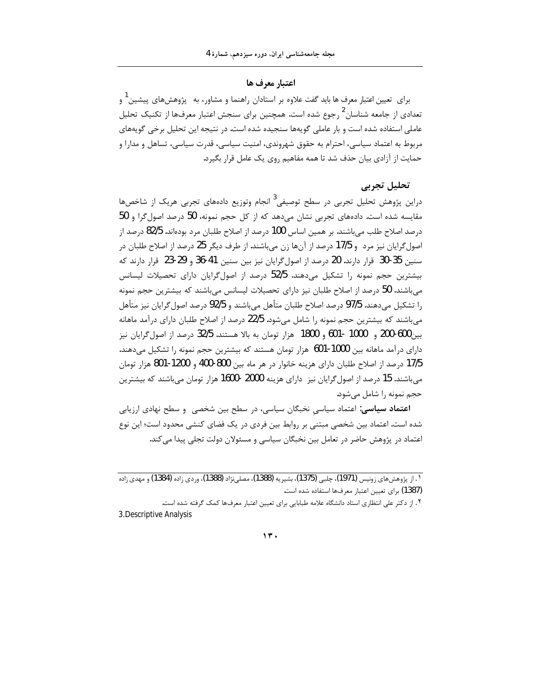#### اعتبار معرف ها

برای ِ تعیین اعتبار معرف ها باید گفت علاوه بر استادان راهنما و مشاور، به پژوهشهای پیشین ٔ و تعدادی از جامعه شناسان<sup>2</sup> رجوع شده است. همچنین برای سنجش اعتبار معرفها از تکنیک تحلیل عاملی استفاده شده است و بار عاملی گویهها سنجیده شده است. در نتیجه این تحلیل برخی گویههای مربوط به اعتماد سیاسی، احترام به حقوق شهروندی، امنیت سیاسی، قدرت سیاسی، تساهل و مدارا و حمایت از آزادی بیان حذف شد تا همه مفاهیم روی یک عامل قرار بگیرد.

### تحليل تجربي

دراین پژوهش تحلیل تجربی در سطح توصیفی<sup>3</sup> انجام وتوزیع دادههای تجربی هریک از شاخصها مقایسه شده است. دادههای تجربی نشان میدهد که از کل حجم نمونه، 50 درصد اصول گرا و 50 درصد اصلاح طلب می باشند. بر همین اساس 100 درصد از اصلاح طلبان مرد بودهاند. 82/5 درصد از اصول گرایان نیز مرد و 17/5 درصد از آنها زن میباشند. از طرف دیگر 25 درصد از اصلاح طلبان در سنين 35-30 قرار دارند. 20 درصد از اصول گرايان نيز بين سنين 41-36 و 29-23 قرار دارند كه بیشترین حجم نمونه را تشکیل میدهند. 52/5 درصد از اصول گرایان دارای تحصیلات لیسانس می باشند. 50 درصد از اصلاح طلبان نیز دارای تحصیلات لیسانس می باشند که بیشترین حجم نمونه را تشكيل مي‹هند. 97/5 درصد اصلاح طلبان متأهل مي٬باشند و 92/5 درصد اصول گرايان نيز متأهل می باشند که بیشترین حجم نمونه را شامل می شود. 22/5 درصد از اصلاح طلبان دارای درآمد ماهانه بين600-200 و 1000 -601 و 1800 هزار تومان به بالا هستند. 32/5 درصد از اصول گرايان نيز دارای درآمد ماهانه بین 1000-601 هزار تومان هستند که بیشترین حجم نمونه را تشکیل میدهند. 17/5 درصد از اصلاح طلبان دارای هزینه خانوار در هر ماه بین 800-400 و 1200-801 هزار تومان میباشند. 15 درصد از اصول گرایان نیز دارای هزینه 2000 -1600 هزار تومان میباشند که بیشترین حجم نمونه را شامل می شود.

**اعتماد سیاسی**: اعتماد سیاسی نخبگان سیاسی، در سطح بین شخصی و سطح نهادی ارزیابی شده است. اعتماد بین شخصی مبتنی بر روابط بین فردی در یک فضای کنشی محدود است؛ این نوع اعتماد در پژوهش حاضر در تعامل بین نخبگان سیاسی و مسئولان دولت تجلی پیدا می کند.

#### $17.$

<sup>&</sup>lt;u>۱. از پژوهش های زونیس (1971)، جلبی (1375</u>)، بشیر به (1388)، مصلے نژاد (1388)، وردی زاده (1384) و مهدی زاده <sup>-</sup> (1387) براي تعيين اعتبار معرفها استفاده شده است.

٢. از دكتر على انتظارى استاد دانشگاه علامه طبابايي براي تعيين اعتبار معرفها كمك گرفته شده است. 3. Descriptive Analysis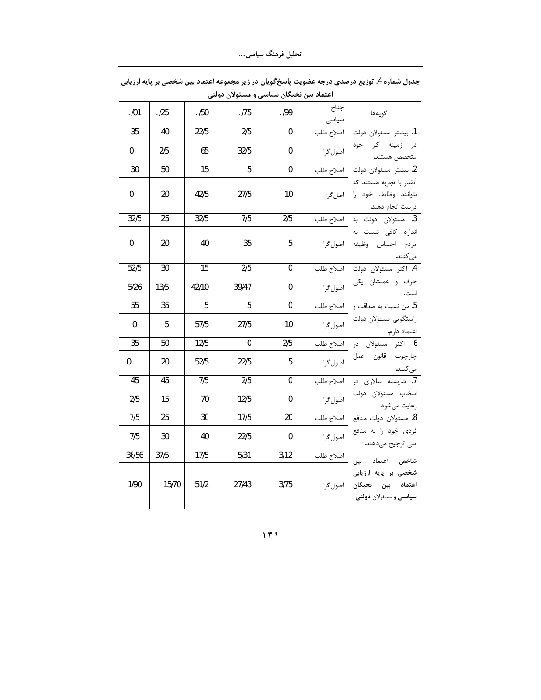| .101             | .125            | .150             | .175             | .199            | جناح<br>سياسى | گويەھا                                                                               |
|------------------|-----------------|------------------|------------------|-----------------|---------------|--------------------------------------------------------------------------------------|
| 35               | 40              | 22/5             | 2/5              | $\mathbf 0$     | اصلاح طلب     | 1. بيشتر مسئولان دولت                                                                |
| 0                | 2/5             | 65               | 32/5             | 0               | اصول گرا      | در زمینه کار خود<br>متخصص هستند.                                                     |
| 30               | 50              | $\overline{15}$  | 5                | 0               |               | <mark>2</mark> . بیشتر مسئولان دولت   اصلاح طلب                                      |
| 0                | 20              | 42/5             | 27/5             | 10              |               | آنقدر با تجربه هستند که<br>بتوانند وظايف خود را   اصل گرا<br>درست انجام دهند.        |
| 32/5             | $\overline{25}$ | 32/5             | 7/5              | 2/5             |               | 3. مسئولان دولت به   اصلاح طلب                                                       |
| 0                | 20              | 40               | 35               | 5               | اصول گرا      | اندازه کافی نسبت به<br>مردم احساس وظيفه                                              |
| 52/5             | 30              | 15               | 2/5              | $\mathbf{0}$    |               | میکنند.<br>4. اکثر مسئولان دولت   اصلاح طلب                                          |
| 5/26             | 13/5            | 42/10            | 39/47            | $\mathbf 0$     |               | ۔<br>حرف و عملشان یکی   اصولگرا<br>است.                                              |
| $\overline{55}$  | $\overline{35}$ | $\overline{5}$   | $\overline{5}$   | $\overline{0}$  |               | 5. من نسبت به صداقت و   اصلاح طلب                                                    |
| 0                | 5               | 57/5             | 27/5             | 10              |               | ں س<br>راستگویی مسئولان دولت   اصول <i>گ</i> را                                      |
| 35               | 50              | 12/5             | $\mathbf 0$      | 2/5             |               | 6. اكثر مسئولان در  اصلاح-طلب                                                        |
| 0                | 20              | 52/5             | 22/5             | 5               |               | ۔<br>چارچوب قانون عمل  مصول <i>گ</i> را<br>مى كنند.                                  |
| 45               | 45              | $\overline{7/5}$ | $\overline{2/5}$ | $\overline{0}$  | أصلاح طلب     | .<br>7. شايسته سالاري در                                                             |
| 2/5              | 15              | 70               | 12/5             | $\mathbf{0}$    |               | <br>انتخاب مسئولان دولت   اصولگرا<br>رعايت مىشود.                                    |
| $\overline{7/5}$ | $\overline{25}$ | $\overline{30}$  | 17/5             | $\overline{20}$ |               | <mark>8. مسئولان دولت منافع   اصلاح طلب</mark>                                       |
| 7/5              | 30              | 40               | 22/5             | $\mathbf 0$     |               | ر<br>فردی خود را به منافع   اصولگرا<br>ملی ترجیح میدهند.                             |
| 36/56            | 37/5            | 17/5             | 5/31             | 3/12            | اصلاح طلب     | شاخص اعتماد بين                                                                      |
| 1/90             | 15/70           | 51/2             | 27/43            | 3/75            |               | شخصی بر پایه ارزیابی<br>اعتماد بين نخبگان  اصول <i>گ</i> را<br>سیاسی و مسئولان دولتی |

جدول شماره 4. توزیع درصدی درجه عضویت پاسخ گویان در زیر مجموعه اعتماد بین شخصی بر پایه ارزیابی اعتماد بین نخبگان سیاسی و مسئولان دولتی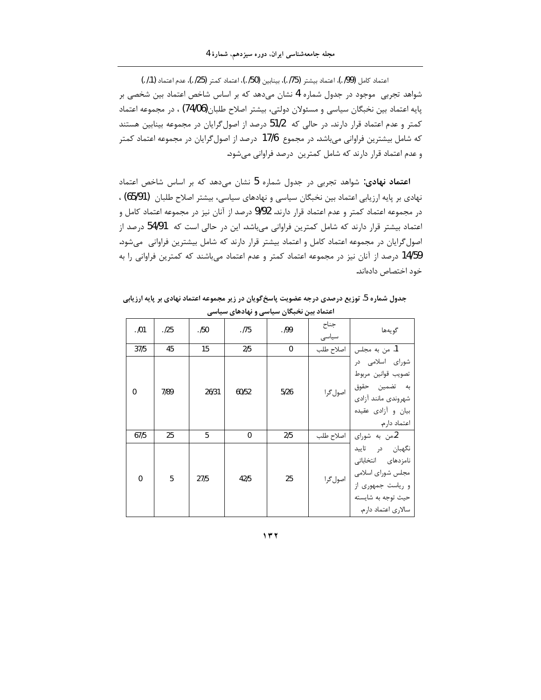$($ . /1) [198], اعتماد بيشتر (75/ .)، بينابين (50/ .)، اعتماد كمتر (25/ .)، عدم اعتماد (1./ .) شواهد تجربی موجود در جدول شماره 4 نشان میدهد که بر اساس شاخص اعتماد بین شخصی بر پایه اعتماد بین نخبگان سیاسی و مسئولان دولتی، بیشتر اصلاح طلبان(74/06) ، در مجموعه اعتماد كمتر و عدم اعتماد قرار دارند. در حالي كه 51/2 درصد از اصول گرايان در مجموعه بينابين هستند که شامل بیشترین فراوانی میباشد. در مجموع 17/6 درصد از اصول گرایان در مجموعه اعتماد کمتر و عدم اعتماد قرار دارند كه شامل كمترين درصد فراواني مي شود.

اعتماد نهادی: شواهد تجربی در جدول شماره 5 نشان میدهد که بر اساس شاخص اعتماد نهادی بر پایه ارزیابی اعتماد بین نخبگان سیاسی و نهادهای سیاسی، بیشتر اصلاح طلبان (65/91) ، در مجموعه اعتماد کمتر و عدم اعتماد قرار دارند. 9/92 درصد از آنان نیز در مجموعه اعتماد کامل و اعتماد بیشتر قرار دارند که شامل کمترین فراوانی میباشد. این در حالی است که 54/91 درصد از اصول گرایان در مجموعه اعتماد کامل و اعتماد بیشتر قرار دارند که شامل بیشترین فراوانی میشود. 14/59 درصد از آنان نیز در مجموعه اعتماد کمتر و عدم اعتماد میباشند که کمترین فراوانی را به خود اختصاص دادهاند.

جدول شماره 5. توزیع درصدی درجه عضویت پاسخ *گ*ویان در زیر مجموعه اعتماد نهادی بر پایه ارزیابی **اعتماد بین نخبگان سیاسی و نهادهای سیاسی** 

| .101             | .125 | . /50 | . 175        | .199         | جناح<br>سياسى | گويەھا                                                                                                                                                     |
|------------------|------|-------|--------------|--------------|---------------|------------------------------------------------------------------------------------------------------------------------------------------------------------|
| 37/5             | 45   | 15    | 2/5          | $\mathbf{0}$ | اصلاح طلب     | 1. من به مجلس                                                                                                                                              |
| $\boldsymbol{0}$ | 7/89 | 26/31 | 60/52        | 5/26         |               | شورای اسلامی در<br>تصويب قوانين مربوط<br>ر کو سنت حقوق   اصول گرا<br>به گفمین حقوق   اصول گرا<br>شهروندى مانند آزادى<br>بیان و آزادی عقیده<br>اعتماد دارم. |
| 67/5             | 25   | 5     | $\mathbf{0}$ | 2/5          | اصلاح طلب     | 2.من به شورای                                                                                                                                              |
| $\mathbf 0$      | 5    | 27/5  | 42/5         | 25           |               | نگهبان در تاييد<br>نامزدهای انتخاباتی<br>۔<br>مجلس شورای اسلامی   اصول گرا<br>و ریاست جمهوری از<br>حيث توجه به شايسته<br>سالاری اعتماد دارم.               |

**˺˼˻**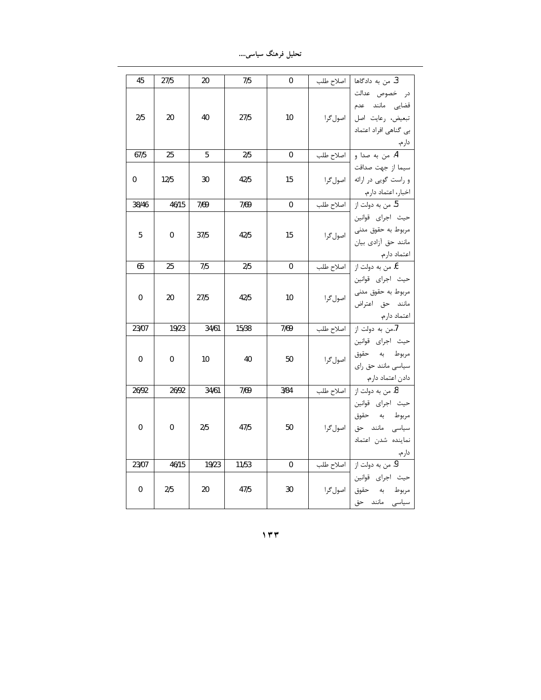تحلیل فرهنگ سیاس*ی*….

| 45    | 27/5        | 20    | 7/5   | $\mathbf 0$ | . من به دادگاها $ $ اصلاح طلب                       |
|-------|-------------|-------|-------|-------------|-----------------------------------------------------|
|       |             |       |       |             | در خصوص عدالت                                       |
|       |             |       |       |             |                                                     |
| 2/5   | 20          | 40    | 27/5  | 10          | قضایی مانند عدم<br>تبعیض، رعایت اصل  صولگرا         |
|       |             |       |       |             | بی گناهی افراد اعتماد                               |
|       |             |       |       |             | دارم.                                               |
| 67/5  | 25          | 5     | 2/5   | $\pmb{0}$   | .<br>4. من به صدا و   اصلاح طلب                     |
|       |             |       |       |             | سيما از جهت صداقت                                   |
| 0     | 12/5        | 30    | 42/5  | 15          | و راست گويى در ارائه   اصول گرا                     |
|       |             |       |       |             |                                                     |
| 38/46 | 46/15       | 7/69  | 7/69  | $\mathbf 0$ | اخبار، اعتماد دارم.<br>5. من به دولت از   اصلاح طلب |
|       |             |       |       |             | حيث اجراي قوانين                                    |
| 5     | 0           | 37/5  | 42/5  | 15          | سیہ<br>مربوط به حقوق مدنی   اصول <i>گ</i> را        |
|       |             |       |       |             | مانند حق أزادي بيان                                 |
|       |             |       |       |             | اعتماد دارم.                                        |
| 65    | 25          | 7/5   | 2/5   | 0           | <mark>6. من به دول</mark> ت از   اصلاح طلب          |
|       |             |       |       |             | حيث اجراي قوانين                                    |
| 0     | 20          | 27/5  | 42/5  | 10          | مربوط به حقوق مدنی  <br>مانند حق اعتراض   اصولگرا   |
|       |             |       |       |             |                                                     |
|       |             |       |       |             | اعتماد دارم.<br>7.من به دولت از   اصلاح طلب         |
| 23/07 | 19/23       | 34/61 | 15/38 | 7/69        |                                                     |
|       |             |       |       |             | حيث اجراى قوانين                                    |
| 0     | $\mathbf 0$ | 10    | 40    | 50          | مربوط به حقوق  <br>سیاسی مانند حق رای   اصول گرا    |
|       |             |       |       |             |                                                     |
|       |             |       |       |             | دادن اعتماد دارم.<br>8. من به دولت از   اصلاح طلب   |
| 26/92 | 26/92       | 34/61 | 7/69  | 3/84        |                                                     |
|       |             |       |       |             | حيث اجراى قوانين                                    |
|       |             |       |       |             | مربوط به حقوق                                       |
| 0     | 0           | 2/5   | 47/5  | 50          | ۔<br>سیاسی مانند حق  اصولگرا                        |
|       |             |       |       |             | نماينده شدن اعتماد                                  |
|       |             |       |       |             |                                                     |
| 23/07 | 46/15       | 19/23 | 11/53 | $\mathbf 0$ | دارم.<br>9. من به دولت از   اصلاح طلب               |
|       |             |       |       |             | حيث اجراى قوانين                                    |
| 0     | 2/5         | 20    | 47/5  | 30          | مربوط به حقوق  اصولگرا                              |
|       |             |       |       |             | سیاسی مانند حق                                      |

**˺˼˼**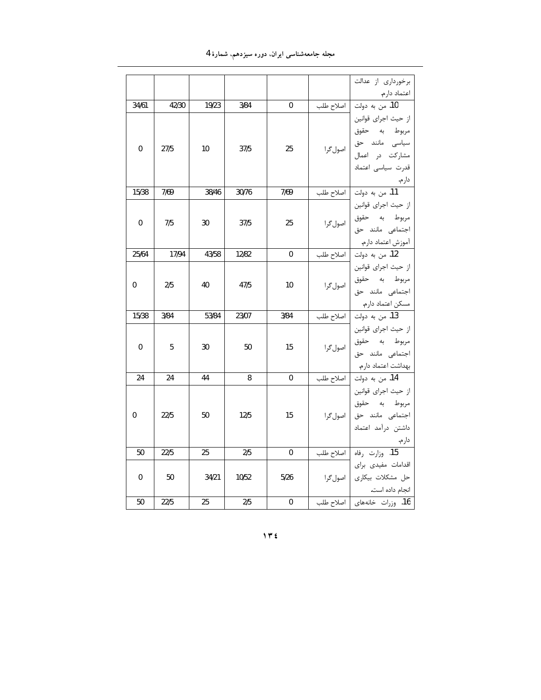مجله جامعهشناسی ایران، دوره سیزدهم، شمارهٔ 4

|             |       |       |       |             | برخورداری از عدالت                                      |  |
|-------------|-------|-------|-------|-------------|---------------------------------------------------------|--|
|             |       |       |       |             | اعتماد دارم.<br><mark>10.</mark> من به دولت   اصلاح طلب |  |
| 34/61       | 42/30 | 19/23 | 3/84  | $\mathbf 0$ |                                                         |  |
|             |       |       |       |             | از حيث اجراي قوانين                                     |  |
|             |       |       |       |             |                                                         |  |
| $\mathbf 0$ | 27/5  | 10    | 37/5  | 25          | مربوط به حقوق<br>سیاسی مانند حق<br>مشارکت در اعمال      |  |
|             |       |       |       |             |                                                         |  |
|             |       |       |       |             | قدرت سياسى اعتماد                                       |  |
|             |       |       |       |             |                                                         |  |
| 15/38       | 7/69  | 38/46 | 30/76 | 7/69        | دارم.<br><mark>11.</mark> من به دولت   اصلاح طلب        |  |
|             |       |       |       |             | از حيث اجراي قوانين                                     |  |
| 0           | 7/5   | 30    | 37/5  | 25          | مربوط به حقوق  <br>اجتماعی مانند حق   اصول <i>گ</i> را  |  |
|             |       |       |       |             |                                                         |  |
|             |       |       |       |             | آموزش اعتماد دارم.                                      |  |
| 25/64       | 17/94 | 43/58 | 12/82 | $\bf{0}$    |                                                         |  |
|             |       |       |       |             | از حيث اجراي قوانين                                     |  |
| 0           | 2/5   | 40    | 47/5  | 10          | مربوط به حقوق  <br>اجتماعی مانند حق   اصولگرا           |  |
|             |       |       |       |             |                                                         |  |
|             |       |       |       |             | مسکن اعتماد دارم.                                       |  |
| 15/38       | 3/84  | 53/84 | 23/07 | 3/84        |                                                         |  |
|             |       |       |       |             | از حيث اجراي قوانين                                     |  |
| 0           | 5     | 30    | 50    | 15          | مربوط به حقوق  <br>اجتماعی مانند حق   اصول <i>گ</i> را  |  |
|             |       |       |       |             |                                                         |  |
|             |       |       |       |             |                                                         |  |
| 24          | 24    | 44    | 8     | $\mathbf 0$ | بهداشت اعتماد دارم.<br>14. من به دولت   اصلاح طلب       |  |
|             |       |       |       |             | از حيث اجراي قوانين                                     |  |
|             |       |       |       |             | مربوط به حقوق                                           |  |
| 0           | 22/5  | 50    | 12/5  | 15          | ربر<br>اجتماعی مانند حق   اصولگرا                       |  |
|             |       |       |       |             | داشتن درآمد اعتماد                                      |  |
|             |       |       |       |             | دارم.                                                   |  |
| 50          | 22/5  | 25    | 2/5   | $\mathbf 0$ | .<br><mark>15. وزارت رفاه </mark> اصلاح طلب             |  |
|             |       |       |       |             | اقدامات مفيدى براى                                      |  |
| 0           | 50    | 34/21 | 10/52 | 5/26        | حل مشكلات بيكارى   اصول گرا                             |  |
|             |       |       |       |             | انجام داده است.                                         |  |
| 50          | 22/5  | 25    | 2/5   | $\pmb{0}$   | 16. وزرات خانههای   اصلاح طلب                           |  |

**˺˼˽**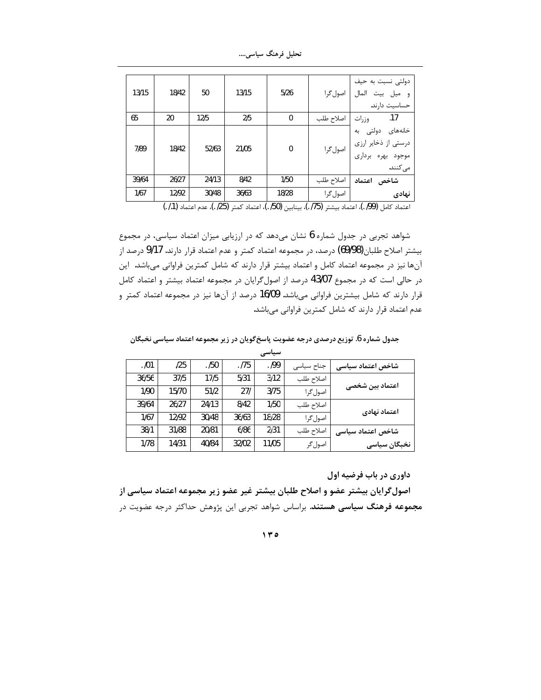تحلیل فرهنگ سیاسی....

| 13/15 | 18/42 | 50    | 13/15 | 5/26         | اصول گرا  | دولتی نسبت به حیف<br>المال<br>و ميل بيت<br>حساسيت دارند.                 |
|-------|-------|-------|-------|--------------|-----------|--------------------------------------------------------------------------|
| 65    | 20    | 12/5  | 2/5   | $\mathbf{0}$ | اصلاح طلب | .17<br>وزرات                                                             |
| 7/89  | 18/42 | 52/63 | 21/05 | $\mathbf{0}$ | اصول گرا  | خانەھاي دولتى بە<br>درستی از ذخایر ارزی<br>موجود بهره برداري<br>می کنند. |
| 39/64 | 26/27 | 24/13 | 8/42  | 1/50         | اصلاح طلب | شاخص اعتماد                                                              |
| 1/67  | 12/92 | 30/48 | 36/63 | 18/28        | اصول گرا  | نهادى                                                                    |

اعتماد كامل (99/ .)، اعتماد بيشتر (75/ .)، بينابين (50/ .)، اعتماد كمتر (25/ .)، عدم اعتماد (1./ .)

شواهد تجربی در جدول شماره 6 نشان میدهد که در ارزیابی میزان اعتماد سیاسی، در مجموع بیشتر اصلاح طلبان(69/98) درصد، در مجموعه اعتماد کمتر و عدم اعتماد قرار دارند. 9/17 درصد از آنها نیز در مجموعه اعتماد کامل و اعتماد بیشتر قرار دارند که شامل کمترین فراوانی میباشد. این در حالی است که در مجموع 43/07 درصد از اصول گرایان در مجموعه اعتماد بیشتر و اعتماد کامل قرار دارند که شامل بیشترین فراوانی میباشد. 16/09 درصد از آنها نیز در مجموعه اعتماد کمتر و عدم اعتماد قرار دارند که شامل کمترین فراوانی میباشد.

جدول شماره 6. توزیع درصدی درجه عضویت پاسخ گویان در زیر مجموعه اعتماد سیاسی نخبگان

|       |       |       |       | سیاسی |            |                   |  |
|-------|-------|-------|-------|-------|------------|-------------------|--|
| .101  | 125   | .150  | .175  | .199  | جناح سیاسی | شاخص اعتماد سياسى |  |
| 36/56 | 37/5  | 17/5  | 5/31  | 3/12  | اصلاح طلب  |                   |  |
| 1/90  | 15/70 | 51/2  | 271   | 3/75  | اصول گرا   | اعتماد بین شخصی   |  |
| 39/64 | 26/27 | 24/13 | 8/42  | 1/50  | اصلاح طلب  | اعتماد نهادى      |  |
| 1/67  | 12/92 | 30/48 | 36/63 | 18/28 | اصول گرا   |                   |  |
| 38/1  | 31/88 | 20/81 | 6/86  | 2/31  | اصلاح طلب  | شاخص اعتماد سياسى |  |
| 1/78  | 14/31 | 40/84 | 32/02 | 11/05 | اصول گر    | نخبگان سیاسی      |  |
|       |       |       |       |       |            |                   |  |

داوری در باب فرضیه اول

اصول گرایان بیشتر عضو و اصلاح طلبان بیشتر غیر عضو زیر مجموعه اعتماد سیاسی از **مجموعه فرهنگ سیاسی هستند**. براساس شواهد تجربی این پژوهش حداکثر درجه عضویت در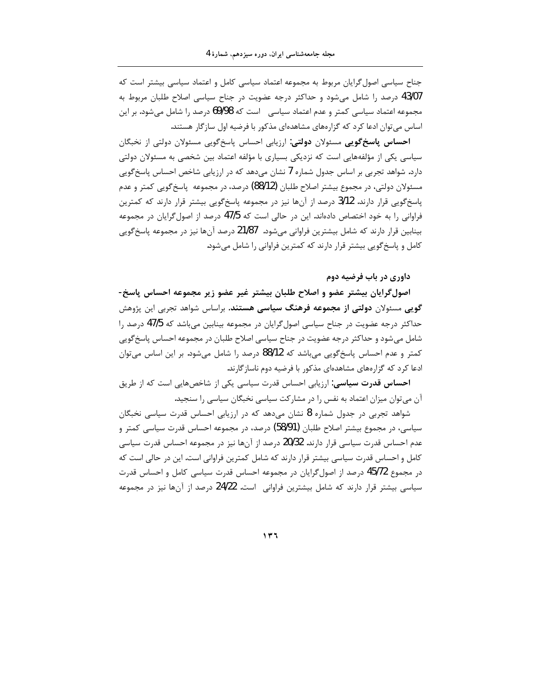جناح سیاسی اصول گرایان مربوط به مجموعه اعتماد سیاسی کامل و اعتماد سیاسی بیشتر است که 43/07 درصد را شامل میشود و حداکثر درجه عضویت در جناح سیاسی اصلاح طلبان مربوط به مجموعه اعتماد سیاسی کمتر و عدم اعتماد سیاسی۔ است که 69/98 درصد را شامل میشود. بر این اساس می توان ادعا کرد که گزارههای مشاهدهای مذکور با فرضیه اول سازگار هستند.

**احساس پاسخگویی** مسئولان **دولتی**: ارزیابی احساس پاسخگویی مسئولان دولتی از نخبگان سیاسی یکی از مؤلفههایی است که نزدیکی بسیاری با مؤلفه اعتماد بین شخصی به مسئولان دولتی دارد. شواهد تجربی بر اساس جدول شماره 7 نشان میدهد که در ارزیابی شاخص احساس پاسخگویی مسئولان دولتي، در مجموع بيشتر اصلاح طلبان (88/12) درصد، در مجموعه ياسخ گويي كمتر و عدم پاسخگویی قرار دارند. 3/12 درصد از آنها نیز در مجموعه پاسخگویی بیشتر قرار دارند که کمترین فراوانی را به خود اختصاص دادهاند. این در حالی است که 47/5 درصد از اصول گرایان در مجموعه بینابین قرار دارند که شامل بیشترین فراوانی می شود. 21/87 درصد آنها نیز در مجموعه پاسخگویی کامل و پاسخ گویی بیشتر قرار دارند که کمترین فراوانی را شامل می شود.

داوری در باب فرضیه دوم

اصولگرایان بیشتر عضو و اصلاح طلبان بیشتر غیر عضو زیر مجموعه احساس پاسخ-**گویی** مسئولان **دولتی از مجموعه فرهنگ سیاسی هستند**. براساس شواهد تجربی این پژوهش حداکثر درجه عضویت در جناح سیاسی اصول گرایان در مجموعه بینابین می باشد که 47/5 درصد را شامل می شود و حداکثر درجه عضویت در جناح سیاسی اصلاح طلبان در مجموعه احساس پاسخگویی کمتر و عدم احساس پاسخگویی میباشد که 88/12 درصد را شامل میشود. بر این اساس می¤وان ادعا کرد که گزارههای مشاهدهای مذکور با فرضیه دوم ناساز گارند.

**احساس قدرت سیاسی**: ارزیابی احساس قدرت سیاسی یکی از شاخصهایی است که از طریق آن می توان میزان اعتماد به نفس را در مشارکت سیاسی نخبگان سیاسی را سنجید.

شواهد تجربی در جدول شماره 8 نشان میدهد که در ارزیابی احساس قدرت سیاسی نخبگان سیاسی، در مجموع بیشتر اصلاح طلبان (58/91) درصد، در مجموعه احساس قدرت سیاسی کمتر و عدم احساس قدرت سیاسی قرار دارند. 20/32 درصد از آنها نیز در مجموعه احساس قدرت سیاسی کامل و احساس قدرت سیاسی بیشتر قرار دارند که شامل کمترین فراوانی است. این در حالی است که در مجموع 45/72 درصد از اصول گرایان در مجموعه احساس قدرت سیاسی کامل و احساس قدرت سیاسی بیشتر قرار دارند که شامل بیشترین فراوانی است. 24/22 درصد از آنها نیز در مجموعه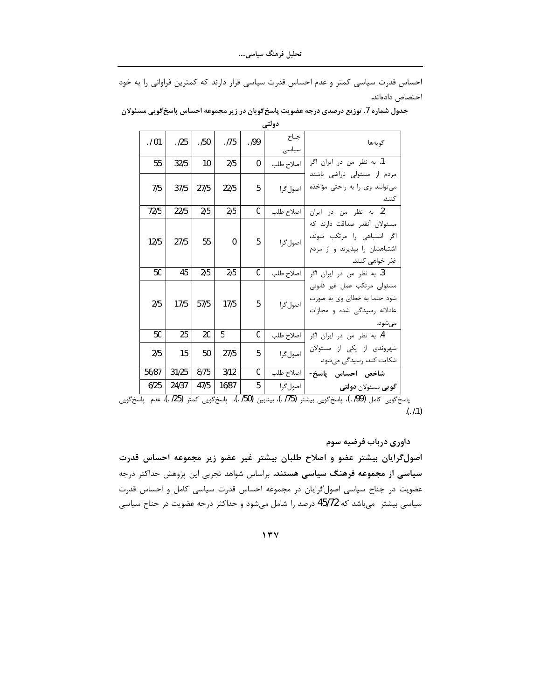احساس قدرت سیاسی کمتر و عدم احساس قدرت سیاسی قرار دارند که کمترین فراوانی را به خود اختصاص دادهاند.

| .101  | .125  | . /50 | . 175        | . 199 | جناح<br>سياسى | گويەھا                                                                                                          |
|-------|-------|-------|--------------|-------|---------------|-----------------------------------------------------------------------------------------------------------------|
| 55    | 32/5  | 10    | 2/5          | 0     | اصلاح طلب     | 1. به نظر من در ايران اگر                                                                                       |
| 7/5   | 37/5  | 27/5  | 22/5         | 5     | اصول گرا      | مردم از مسئولی ناراضی باشند<br>می توانند وی را به راحتی مؤاخذه<br>كنند.                                         |
| 72/5  | 22/5  | 2/5   | 2/5          | 0     | اصلاح طلب     | 2. به نظر من در ایران                                                                                           |
| 12/5  | 27/5  | 55    | $\mathbf{0}$ | 5     | اصول گرا      | مسئولان آنقدر صداقت دارند كه<br>اگر اشتباهی را مرتکب شوند،<br>اشتباهشان را بپذیرند و از مردم<br>غذر خواهي كنند. |
| 50    | 45    | 2/5   | 2/5          | 0     | اصلاح طلب     | 3. به نظر من در ایران اگر                                                                                       |
| 2/5   | 17/5  | 57/5  | 17/5         | 5     | اصول گرا      | مسئولى مرتكب عمل غير قانونى<br>شود حتما به خطای وی به صورت<br>عادلانه رسیدگی شده و مجازات<br>مىشود.             |
| 50    | 25    | 20    | 5            | 0     | اصلاح طلب     | 4. به نظر من در ایران اگر                                                                                       |
| 2/5   | 15    | 50    | 27/5         | 5     | اصول گرا      | شهروندی از یکی از مسئولان<br>شکایت کند، رسیدگی میشود.                                                           |
| 56/87 | 31/25 | 8/75  | 3/12         | 0     | اصلاح طلب     | شاخص احساس پاسخ-                                                                                                |
| 6/25  | 24/37 | 47/5  | 16/87        | 5     | اصول گرا      | گ <b>ویی</b> مسئولان <b>دولتی</b>                                                                               |

جدول شماره 7. توزیع درصدی درجه عضویت پاسخگویان در زیر مجموعه احساس پاسخگویی مسئولان دولتي

ياسخ كويي كامل (99/ .)، پاسخ گويي بيشتر (75/ .)، بينابين (50/ .)، پاسخ گويي كمتر (25/ .)، عدم پاسخ گويي  $(1.1)$ 

داوری درباب فرضیه سوم اصول گرایان بیشتر عضو و اصلاح طلبان بیشتر غیر عضو زیر مجموعه احساس قدرت سیاسی از مجموعه فرهنگ سیاسی هستند. براساس شواهد تجربی این پژوهش حداکثر درجه عضویت در جناح سیاسی اصولگرایان در مجموعه احساس قدرت سیاسی کامل و احساس قدرت سیاسی بیشتر ً میباشد که 45/72 درصد را شامل میشود و حداکثر درجه عضویت در جناح سیاسی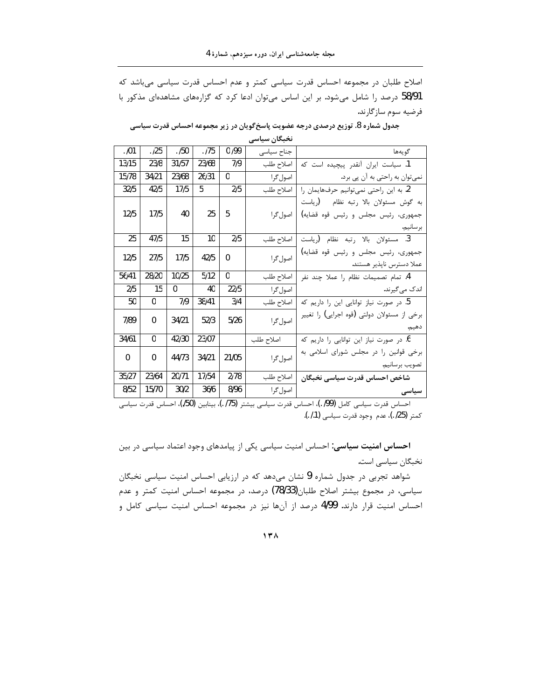اصلاح طلبان در مجموعه احساس قدرت سیاسی کمتر و عدم احساس قدرت سیاسی میباشد که 58/91 درصد را شامل می شود. بر این اساس می توان ادعا کرد که گزارههای مشاهدهای مذکور با فرضيه سوم سازگارند.

|                                             | تحبحن سياسى |       |       |       |          |              |
|---------------------------------------------|-------------|-------|-------|-------|----------|--------------|
| گويەھا                                      | جناح سياسى  | 0/99  | .175  | .150  | .125     | .101         |
| 1. سياست ايران آنقدر پيچيده است كه          | اصلاح طلب   | 7/9   | 23/68 | 31/57 | 23/8     | 13/15        |
| نمي توان به راحتي به آن پي برد.             | اصول گرا    | 0     | 26/31 | 23/68 | 34/21    | 15/78        |
| 2. به این راحتی نمیتوانیم حرفهایمان را      | اصلاح طلب   | 2/5   | 5     | 17/5  | 42/5     | 32/5         |
| به گوش مسئولان بالا رتبه نظام (رياست        |             |       |       |       |          |              |
| جمهوري، رئيس مجلس و رئيس قوه قضايه)         | اصول گرا    | 5     | 25    | 40    | 17/5     | 12/5         |
| بر سانيم.                                   |             |       |       |       |          |              |
| 3. مسئولان بالا رتبه نظام (رياست            | اصلاح طلب   | 2/5   | 10    | 15    | 47/5     | 25           |
| جمهوري، رئيس مجلس و رئيس قوه قضايه)         | اصول گرا    | U     | 42/5  | 17/5  | 27/5     | 12/5         |
| عملا دسترس ناپذیر هستند.                    |             |       |       |       |          |              |
| 4. تمام تصميمات نظام را عملا چند نفر        | اصلاح طلب   | 0     | 5/12  | 10/25 | 28/20    | 56/41        |
| اندک میگیرند.                               | اصول گرا    | 22/5  | 40    | 0     | 15       | 2/5          |
| 5. در صورت نیاز توانایی این را داریم که     | اصلاح طلب   | 3/4   | 38/41 | 7/9   | 0        | 50           |
| برخی از مسئولان دولتی (قوه اجرایی) را تغییر | اصول گرا    | 5/26  | 52/3  | 34/21 | $\Omega$ | 7/89         |
| دهيم.                                       |             |       |       |       |          |              |
| 6. در صورت نیاز این توانایی را داریم که     | اصلاح طلب   |       | 23/07 | 42/30 | $\Omega$ | 34/61        |
| برخی قوانین را در مجلس شورای اسلامی به      | اصول گرا    | 21/05 | 34/21 | 44/73 | 0        | $\mathbf{0}$ |
| تصويب برسانيم.                              |             |       |       |       |          |              |
| شاخص احساس قدرت سياسى نخبگان                | اصلاح طلب   | 2/78  | 17/54 | 20/71 | 23/64    | 35/27        |
| سیاسی                                       | اصول گرا    | 8/96  | 36/6  | 30/2  | 15/70    | 8/52         |
|                                             |             |       |       |       |          |              |

جدول شماره 8. توزیع درصدی درجه عضویت پاسخ گویان در زیر مجموعه احساس قدرت سیاسی

 $16 - 21$ 

احساس قدرت سياسي كامل (99/ .)، احساس قدرت سياسي بيشتر (175 .)، بينابين (50/)، احساس قدرت سياسي كمتر (25/ .)، عدم وجود قدرت سياسي (1./ .).

احساس امنیت سیاسی: احساس امنیت سیاسی یکی از پیامدهای وجود اعتماد سیاسی در بین نخبگان سیاسی است.

شواهد تجربی در جدول شماره 9 نشان میدهد که در ارزیابی احساس امنیت سیاسی نخبگان سیاسی، در مجموع بیشتر اصلاح طلبان(78/33) درصد، در مجموعه احساس امنیت کمتر و عدم احساس امنیت قرار دارند. 4/99 درصد از آنها نیز در مجموعه احساس امنیت سیاسی کامل و

 $17<sub>A</sub>$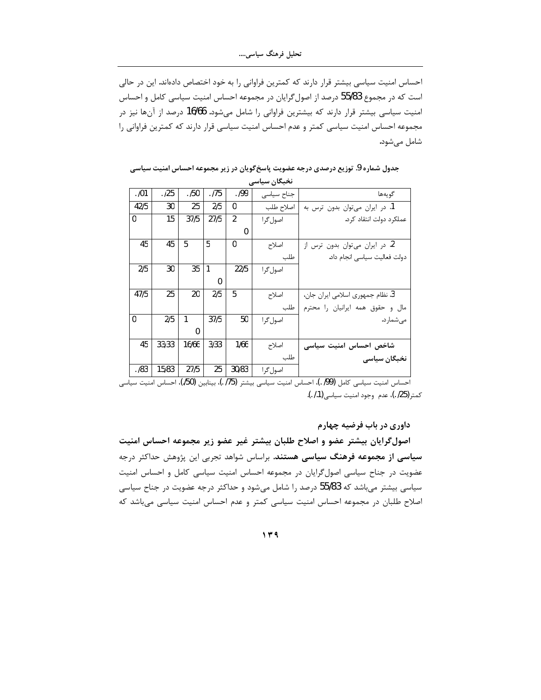احساس امنیت سیاسی بیشتر قرار دارند که کمترین فراوانی را به خود اختصاص دادهاند. این در حالی است که در مجموع 55/83 درصد از اصول گرایان در مجموعه احساس امنیت سیاسی کامل و احساس امنیت سیاسی بیشتر قرار دارند که بیشترین فراوانی را شامل میشود. 16/66 درصد از آنها نیز در مجموعه احساس امنیت سیاسی کمتر و عدم احساس امنیت سیاسی قرار دارند که کمترین فراوانی را شامل می شود.

|      |       |          |      |                | نخبگان سیاسی |                                  |
|------|-------|----------|------|----------------|--------------|----------------------------------|
| .101 | .125  | . /50    | .175 | .199           | جناح سياسى   | گويەھا                           |
| 42/5 | 30    | 25       | 2/5  | 0              | اصلاح طلب    | 1. در ایران میتوان بدون ترس به   |
| 0    | 15    | 37/5     | 27/5 | $\overline{2}$ | اصول گرا     | عملکرد دولت انتقاد کرد.          |
|      |       |          |      | $\Omega$       |              |                                  |
| 45   | 45    | 5        | 5    | 0              | اصلاح        | 2. در ایران میتوان بدون ترس از   |
|      |       |          |      |                | طلب          | دولت فعاليت سياسي انجام داد.     |
| 2/5  | 30    | 35       | 1    | 22/5           | اصول گرا     |                                  |
|      |       |          | 0    |                |              |                                  |
| 47/5 | 25    | 20       | 2/5  | 5              | اصلاح        | 3. نظام جمهوري اسلامي ايران جان، |
|      |       |          |      |                | طلب          | مال وحقوق همه ايرانيان را محترم  |
| 0    | 2/5   | 1        | 37/5 | 50             | اصول گرا     | مے شمار د.                       |
|      |       | $\Omega$ |      |                |              |                                  |
| 45   | 33/33 | 16/66    | 3/33 | 1/66           | اصلاح        | شاخص احساس امنيت سياسى           |
|      |       |          |      |                | طلب          | نخبگان سیاسی                     |
| .183 | 15/83 | 27/5     | 25   | 30/83          | اصول گرا     |                                  |

جدول شماره 9. توزیع درصدی درجه عضویت پاسخ *گ*ویان در زیر مجموعه احساس امنیت سیاسی

احساس امنیت سیاسی کامل (99) .)، احساس امنیت سیاسی بیشتر (75) .)، بینابین (50)، احساس امنیت سیاسی كمتر (25/ .)، عدم وجود امنيت سياسي (1*. .).* 

داوری در باب فرضیه چهارم

اصولگرایان بیشتر عضو و اصلاح طلبان بیشتر غیر عضو زیر مجموعه احساس امنیت سی**اسی از مجموعه فرهنگ سیاسی هستند**. براساس شواهد تجربی این پژوهش حداکثر درجه عضویت در جناح سیاسی اصول گرایان در مجموعه احساس امنیت سیاسی کامل و احساس امنیت سیاسی بیشتر میباشد که 55/83 درصد را شامل میشود و حداکثر درجه عضویت در جناح سیاسی اصلاح طلبان در مجموعه احساس امنیت سیاسی کمتر و عدم احساس امنیت سیاسی میباشد که

**˺˼̂**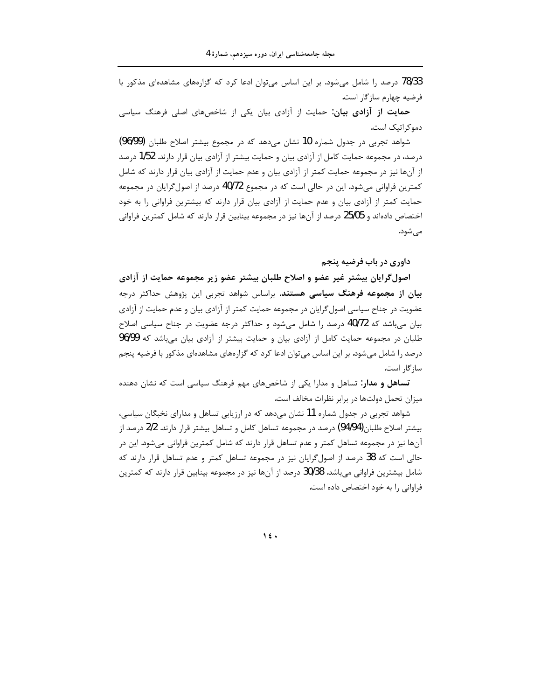78/33 درصد را شامل می شود. بر این اساس می توان ادعا کرد که گزارههای مشاهدهای مذکور با فرضيه چهارم سازگار است.

حمایت از آزادی بیان: حمایت از آزادی بیان یکی از شاخصهای اصلی فرهنگ سیاسی دموکراتیک است.

شواهد تجربی در جدول شماره 10 نشان می دهد که در مجموع بیشتر اصلاح طلبان (96/99) درصد، در مجموعه حمایت کامل از آزادی بیان و حمایت بیشتر از آزادی بیان قرار دارند. 1/52 درصد از آنها نیز در مجموعه حمایت کمتر از آزادی بیان و عدم حمایت از آزادی بیان قرار دارند که شامل کمترین فراوانی می شود. این در حالی است که در مجموع 40/72 درصد از اصول گرایان در مجموعه حمایت کمتر از آزادی بیان و عدم حمایت از آزادی بیان قرار دارند که بیشترین فراوانی را به خود اختصاص دادهاند و 25/05 درصد از آنها نیز در مجموعه بینابین قرار دارند که شامل کمترین فراوانی مے شود.

داوري در باب فرضيه پنجم

اصولگرایان بیشتر غیر عضو و اصلاح طلبان بیشتر عضو زیر مجموعه حمایت از آزادی بیان از مجموعه فرهنگ سیاسی هستند. براساس شواهد تجربی این پژوهش حداکثر درجه عضویت در جناح سیاسی اصول گرایان در مجموعه حمایت کمتر از آزادی بیان و عدم حمایت از آزادی بیان میباشد که 40/72 درصد را شامل میشود و حداکثر درجه عضویت در جناح سیاسی اصلاح طلبان در مجموعه حمایت کامل از آزادی بیان و حمایت بیشتر از آزادی بیان میباشد که 96/99 درصد را شامل میشود. بر این اساس می¤وان ادعا کرد که گزارههای مشاهدهای مذکور با فرضیه پنجم سا; گا, است.

تساهل و مدار: تساهل و مدارا یکی از شاخصهای مهم فرهنگ سیاسی است که نشان دهنده میزان تحمل دولتها در برابر نظرات مخالف است.

شواهد تجربی در جدول شماره 11 نشان میدهد که در ارزیابی تساهل و مدارای نخبگان سیاسی، بیشتر اصلاح طلبان(94/94) درصد در مجموعه تساهل کامل و تساهل بیشتر قرار دارند. 2/2 درصد از آنها نیز در مجموعه تساهل کمتر و عدم تساهل قرار دارند که شامل کمترین فراوانی میشود. این در حالی است که 38 درصد از اصول گرایان نیز در مجموعه تساهل کمتر و عدم تساهل قرار دارند که شامل بیشترین فراوانی میباشد. 30/38 درصد از آنها نیز در مجموعه بینابین قرار دارند که کمترین فراوانی را به خود اختصاص داده است.

 $\lambda$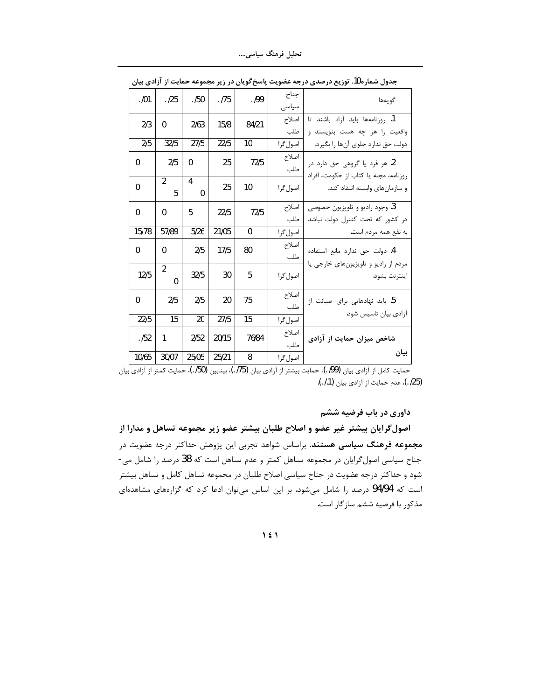تحلیل فرهنگ سیاسی....

|              | سیب از ارادی بیان |                  |       |       |               | بحدون سندره ۰۰۰ بوریج درجندی در بخشخصیت پاسخ بریان در زیر سیسرب          |
|--------------|-------------------|------------------|-------|-------|---------------|--------------------------------------------------------------------------|
| .101         | .125              | .150             | .175  | .199  | جناح<br>سياسى | گو به ها                                                                 |
| 2/3          | 0                 | 2/63             | 15/8  | 84/21 | اصلاح<br>طلب  | 1. روزنامهها بايد آزاد باشند تا<br>واقعیت را هر چه هست بنویسند و         |
| 2/5          | 32/5              | 27/5             | 22/5  | 10    | اصول گرا      | دولت حق ندارد جلوى آنها را بگيرد.                                        |
| 0            | 2/5               | 0                | 25    | 72/5  | اصلاح<br>طلب  | 2. هر فرد يا گروهي حق دارد در                                            |
| $\Omega$     | 2<br>5            | 4<br>$\mathbf 0$ | 25    | 10    | اصول گرا      | روزنامه، مجله يا كتاب از حكومت، افراد<br>و سازمان های وابسته انتقاد کند. |
| $\Omega$     | 0                 | 5                | 22/5  | 72/5  | اصلاح<br>طلب  | 3. وجود راديو و تلويزيون خصوصي<br>در کشور که تحت کنترل دولت نباشد        |
| 15/78        | 57/89             | 5/26             | 21/05 | 0     | اصول گرا      | به نفع همه مردم است.                                                     |
| $\mathbf 0$  | 0                 | 2/5              | 17/5  | 80    | اصلاح<br>طلب  | 4. دولت حق ندارد مانع استفاده<br>مردم از راديو و تلويزيون هاى خارجى يا   |
| 12/5         | 2<br>$\Omega$     | 32/5             | 30    | 5     | اصول گرا      | اينترنت بشود.                                                            |
| $\mathbf{0}$ | 2/5               | 2/5              | 20    | 75    | اصلاح<br>طلب  | 5. باید نهادهایی برای صیانت از                                           |
| 22/5         | 15                | 20               | 27/5  | 15    | اصول گرا      | آزادی بیان تاسیس شود.                                                    |
| .152         | 1                 | 2/52             | 20/15 | 76/84 | اصلاح<br>طلب  | شاخص میزان حمایت از آزادی                                                |
| 10/65        | 30/07             | 25/05            | 25/21 | 8     | اصول گرا      | بيان                                                                     |

جدول شماره 10. توزیع درصدی درجه عضویت پاسخ گویان در زیر مجموعه جمایت از آزادی بیان

ر مسلم السلسل بي الي دي .<br>حمايت كامل از آزادي بيان (99/ )، حمايت بيشتر از آزادي بيان (75/ )، بينابين (75/ )، حمايت كمتر از آزادي بيان (25/ .)، عدم حمايت از آزادي بيان (1./ .).

داوری در باب فرضیه ششم

اصول گرایان بیشتر غیر عضو و اصلاح طلبان بیشتر عضو زیر مجموعه تساهل و مدارا از مجموعه فرهنگ سیاسی هستند. براساس شواهد تجربی این پژوهش حداکثر درجه عضویت در جناح سیاسی اصول گرایان در مجموعه تساهل کمتر و عدم تساهل است که 38 درصد را شامل می-شود و حداکثر درجه عضویت در جناح سیاسی اصلاح طلبان در مجموعه تساهل کامل و تساهل بیشتر است که 94/94 درصد را شامل میشود. بر این اساس میتوان ادعا کرد که گزارههای مشاهدهای مذکور با فرضیه ششم سازگار است.

 $\lambda$  {  $\lambda$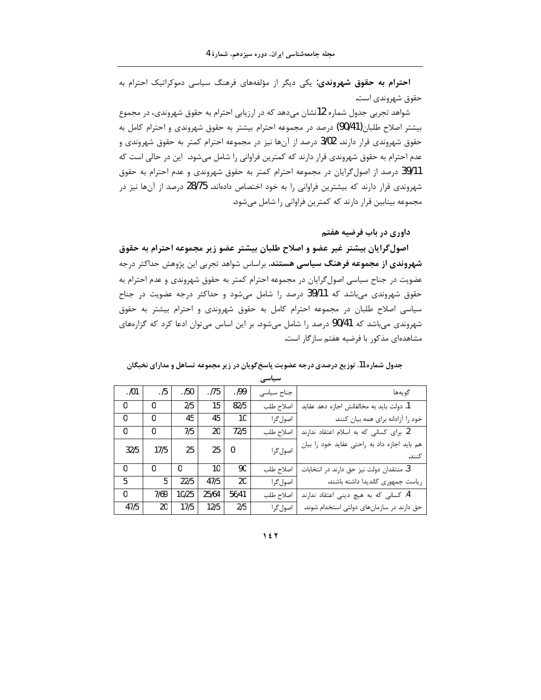احترام به حقوق شهروندی: یکی دیگر از مؤلفههای فرهنگ سیاسی دموکراتیک احترام به حقوق شهروندي است.

شواهد تجربی جدول شماره 12نشان میدهد که در ارزیابی احترام به حقوق شهروندی، در مجموع بیشتر اصلاح طلبان(90/41) درصد در مجموعه احترام بیشتر به حقوق شهروندی و احترام کامل به حقوق شهروندی قرار دارند. 3/02 درصد از آنها نیز در مجموعه احترام کمتر به حقوق شهروندی و عدم احترام به حقوق شهروندی قرار دارند که کمترین فراوانی را شامل میشود. این در حالی است که 39/11 درصد از اصول گرایان در مجموعه احترام کمتر به حقوق شهروندی و عدم احترام به حقوق شهروندي قرار دارند كه بيشترين فراواني را به خود اختصاص دادهاند. 28/75 درصد از آنها نيز در مجموعه بينابين قرار دارند كه كمترين فراواني را شامل مي شود.

داوری در باب فرضیه هفتم

اصول گرایان بیشتر غیر عضو و اصلاح طلبان بیشتر عضو زیر مجموعه احترام به حقوق **شهروندی از مجموعه فرهنگ سیاسی هستند**. براساس شواهد تجربی این پژوهش حداکثر درجه عضویت در جناح سیاسی اصول گرایان در مجموعه احترام کمتر به حقوق شهروندی و عدم احترام به حقوق شهروندی میباشد که 39/11 درصد را شامل میشود و حداکثر درجه عضویت در جناح سیاسی اصلاح طلبان در مجموعه احترام کامل به حقوق شهروندی و احترام بیشتر به حقوق شهروندی میباشد که 90/41 درصد را شامل میشود. بر این اساس میتوان ادعا کرد که گزارههای مشاهدهای مذکور با فرضیه هفتم سازگار است.

| جدول شماره 11. توزیع درصدی درجه عضویت پاسخ گویان در زیر مجموعه تساهل و مدارای نخبگان |
|--------------------------------------------------------------------------------------|
| سیاسی                                                                                |

| گويەھا                                       | جناح سياسى | .199  | . 175           | .150      | .15          | .101         |
|----------------------------------------------|------------|-------|-----------------|-----------|--------------|--------------|
| 1. دولت بايد به مخالفانش اجازه دهد عقايد     | اصلاح طلب  | 82/5  | 15              | 2/5       | $\mathbf{0}$ | $\Omega$     |
| خود را آزادانه برای همه بیان کنند.           | اصول گرا   | 10    | 45              | 45        | $\mathbf{0}$ | $\mathbf{0}$ |
| 2. برای کسانی که به اسلام اعتقاد ندارند      | اصلاح طلب  | 72/5  | 20              | 7/5       | $\mathbf{0}$ | $\Omega$     |
| هم باید اجازه داد به راحتی عقاید خود را بیان | اصول گرا   | - 0   | 25 <sup>2</sup> | 25        | 17/5         | 32/5         |
| كنند.                                        |            |       |                 |           |              |              |
| 3. منتقدان دولت نيز حق دارند در انتخابات     | اصلاح طلب  | 90    | 10              | $\cdot$ 0 | $\mathbf{0}$ | $\Omega$     |
| رياست جمهوري كانديدا داشته باشند.            | اصول گرا   | 20    | 47/5            | 22/5      | 5            | 5.           |
| 4. کسانی که به هیچ دینی اعتقاد ندارند        | اصلاح طلب  | 56/41 | 25/64           | 10/25     | 7/69         | $\Omega$     |
| حق دارند در سازمانهای دولتی استخدام شوند.    | اصول گرا   | 2/5   | 12/5            | 17/5      | $20-1$       | 47/5         |

**˺˽˻**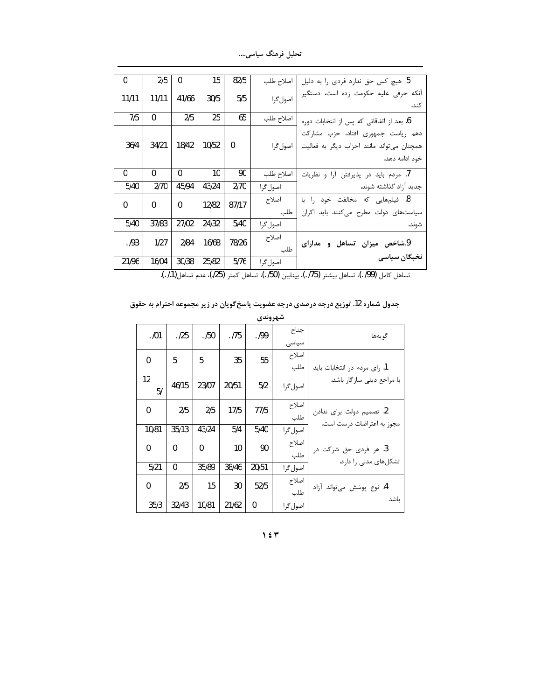تحلیل فرهنگ سیاسی....

| 5. هیچ کس حق ندارد فردی را به دلیل                                                                | اصلاح طلب    | 82/5     | 15    | 0        | 2/5   | $\mathbf{0}$ |
|---------------------------------------------------------------------------------------------------|--------------|----------|-------|----------|-------|--------------|
| آنكه حرفى عليه حكومت زده است، دستگير<br>كند.                                                      | اصول گرا     | 5/5      | 30/5  | 41/66    | 11/11 | 11/11        |
| 6. بعد از اتفاقاتی که پس از انتخابات دوره                                                         | اصلاح طلب    | 65       | 25    | 2/5      | 0     | 7/5          |
| دهم ریاست جمهوری افتاد، حزب مشارکت<br>همچنان میتواند مانند احزاب دیگر به فعالیت<br>خود ادامه دهد. | اصول گرا     | $\Omega$ | 10/52 | 18/42    | 34/21 | 36/4         |
| 7. مردم باید در پذیرفتن آرا و نظریات                                                              | اصلاح طلب    | 90       | 10    | 0        | 0     | $\mathbf{0}$ |
| جدید آزاد گذاشته شوند.                                                                            | اصول گرا     | 2/70     | 43/24 | 45/94    | 2/70  | 5/40         |
| 8. فیلمهایی که مخالفت خود را با<br>سیاستهای دولت مطرح میکنند باید اکران                           | اصلاح<br>طلب | 87/17    | 12/82 | $\Omega$ | 0     | $\mathbf{0}$ |
| شوند.                                                                                             | اصول گرا     | 5/40     | 24/32 | 27/02    | 37/83 | 5/40         |
| 9.شاخص میزان تساهل<br>و مدارای                                                                    | اصلاح<br>طلب | 78/26    | 16/68 | 2/84     | 1/27  | .193         |
| نخبگان سیاسی                                                                                      | اصول گرا     | 5/76     | 25/82 | 30/38    | 16/04 | 21/96        |

جدول شماره 12. توزیع درجه درصدی درجه عضویت پاسخ گویان در زیر مجموعه احترام به حقوق

|              |       |              |       | شهروندي      |               |                              |
|--------------|-------|--------------|-------|--------------|---------------|------------------------------|
| .101         | .125  | .150         | .175  | . 199        | جناح<br>سياسى | گويەھا                       |
| 0            | 5     | 5            | 35    | 55           | اصلاح<br>طلب  | 1. رای مردم در انتخابات باید |
| 12<br>5/     | 46/15 | 23/07        | 20/51 | 5/2          | اصول گرا      | با مراجع دینی سازگار باشد.   |
| 0            | 2/5   | 2/5          | 17/5  | 77/5         | اصلاح<br>طلب  | 2. تصميم دولت براي ندادن     |
| 10/81        | 35/13 | 43/24        | 5/4   | 5/40         | اصول گرا      | مجوز به اعتراضات درست است.   |
| $\mathbf{0}$ | 0     | $\mathbf{0}$ | 10    | 90           | اصلاح<br>طلب  | 3. هر فردی حق شرکت در        |
| 5/21         | 0     | 35/89        | 38/46 | 20/51        | اصول گرا      | تشکلهای مدنی را دارد.        |
| $\Omega$     | 2/5   | 15           | 30    | 52/5         | اصلاح<br>طلب  | 4. نوع پوشش میتواند آزاد     |
| 35/3         | 32/43 | 10/81        | 21/62 | $\mathbf{0}$ | اصول گرا      | ىاشد                         |

 $157$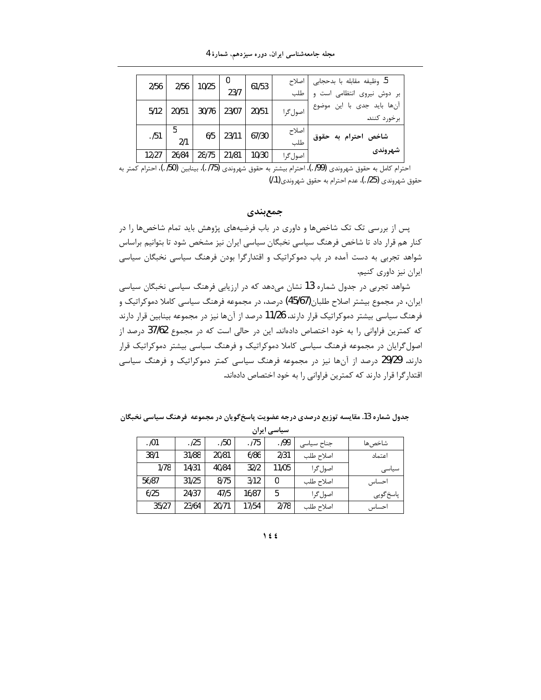| 2/56  | 2/56     | 10/25 | υ<br>23/7 | 61/53 | اصلاح<br>طلب | 5. وظيفه مقابله با بدحجابي  <br>بر دوش نیروی انتظامی است و |
|-------|----------|-------|-----------|-------|--------------|------------------------------------------------------------|
| 5/12  | 20/51    | 30/76 | 23/07     | 20/51 | اصول گرا     | آنها باید جدی با این موضوع<br>برخورد كنند.                 |
| .151  | 5<br>2/1 | 6/5   | 23/11     | 67/30 | اصلاح<br>طلب | شاخص احترام به حقوق                                        |
| 12127 | 26/84    | 28/75 | 21/81     | 10/30 | اصول گرا     | شهروندي                                                    |

احترام كامل به حقوق شهروندي (99/ .)، احترام بيشتر به حقوق شهروندي (75/ .)، بينابين (50/ .)، احترام كمتر به حقوق شهروندي (25/ .)، عدم احترام به حقوق شهروندي(1./)

جمع بندي

پس از بررسی تک تک شاخصها و داوری در باب فرضیههای پژوهش باید تمام شاخصها را در کنار هم قرار داد تا شاخص فرهنگ سیاسی نخبگان سیاسی ایران نیز مشخص شود تا بتوانیم براساس شواهد تجربی به دست آمده در باب دموکراتیک و اقتدارگرا بودن فرهنگ سیاسی نخبگان سیاسی ايران نيز داوري كنيم.

شواهد تجربی در جدول شماره 13 نشان میدهد که در ارزیابی فرهنگ سیاسی نخبگان سیاسی ایران، در مجموع بیشتر اصلاح طلبان(45/67) درصد، در مجموعه فرهنگ سیاسی کاملا دموکراتیک و فرهنگ سیاسی بیشتر دموکراتیک قرار دارند. 11/26 درصد از آنها نیز در مجموعه بینابین قرار دارند که کمترین فراوانی را به خود اختصاص دادهاند. این در حالی است که در مجموع 37/62 درصد از اصول گرایان در مجموعه فرهنگ سیاسی کاملا دموکراتیک و فرهنگ سیاسی بیشتر دموکراتیک قرار دارند. 29/29 درصد از آنها نیز در مجموعه فرهنگ سیاسی کمتر دموکراتیک و فرهنگ سیاسی اقتدار گرا قرار دارند که کمترین فراوانی را به خود اختصاص دادهاند.

جدول شماره 13. مقایسه توزیع درصدی درجه عضویت پاسخ گویان در مجموعه ًفرهنگ سیاسی نخبگان

| سیاسی ایران |       |       |       |       |            |           |  |
|-------------|-------|-------|-------|-------|------------|-----------|--|
| . /01       | . /25 | . /50 | . 175 | .199  | جناح سياسى | شاخص ها   |  |
| 38/1        | 31/88 | 20/81 | 6/86  | 2/31  | اصلاح طلب  | اعتماد    |  |
| 1/78        | 14/31 | 40/84 | 32/2  | 11/05 | اصول گرا   | سیاسی     |  |
| 56/87       | 31/25 | 8/75  | 3/12  | 0     | اصلاح طلب  | احساس     |  |
| 6/25        | 24/37 | 47/5  | 16/87 | 5     | اصول گرا   | پاسخ گويي |  |
| 35/27       | 23/64 | 20/71 | 17/54 | 2/78  | اصلاح طلب  | احساس     |  |

 $\big\}$  { {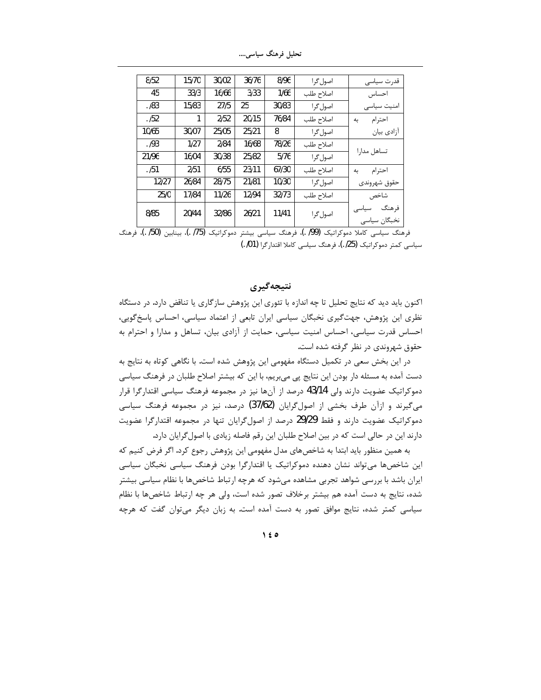| 8/52  | 15/70 | 30/02 | 36/76 | 8/96  | اصول گرا  | قدرت سياسى                     |
|-------|-------|-------|-------|-------|-----------|--------------------------------|
| 45    | 33/3  | 16/66 | 3/33  | 1/66  | اصلاح طلب | احساس                          |
| .183  | 15/83 | 27/5  | 25    | 30/83 | اصول گرا  | امنیت سیاسی                    |
| .152  | 1     | 2/52  | 20/15 | 76/84 | اصلاح طلب | احترام<br>به                   |
| 10/65 | 30/07 | 25/05 | 25/21 | 8     | اصول گرا  | آزادی بیان                     |
| .193  | 1/27  | 2/84  | 16/68 | 78/26 | اصلاح طلب | تساهل مدارا                    |
| 21/96 | 16/04 | 30/38 | 25/82 | 5/76  | اصول گرا  |                                |
| .151  | 2/51  | 6/55  | 23/11 | 67/30 | اصلاح طلب | احترام<br>ىە                   |
| 12/27 | 26/84 | 28/75 | 21/81 | 10/30 | اصول گرا  | حقوق شهروندى                   |
| 25/0  | 17/84 | 11/26 | 12/94 | 32/73 | اصلاح طلب | شاخص                           |
| 8/85  | 20/44 | 32/86 | 26/21 | 11/41 | اصول گرا  | ف هنگ<br>سیاسی<br>نخبگان سياسى |

تحلیل فرهنگ سیاس<sub>می</sub>....

فرهنگ سیاسی کاملا دموکراتیک (99/ .)، فرهنگ سیاسی بیشتر دموکراتیک (75/ .)، بینابین (50/ .)، فرهنگ سياسي كمتر دموكراتيك (25٪ .)، فرهنگ سياسي كاملا اقتدارگرا (01٪ .)

### **نتيجه گيري**

اکنون باید دید که نتایج تحلیل تا چه اندازه با تئوری این پژوهش سازگاری یا تناقض دارد. در دستگاه نظری این پژوهش، جهتگیری نخبگان سیاسی ایران تابعی از اعتماد سیاسی، احساس پاسخگویی، احساس قدرت سیاسی، احساس امنیت سیاسی، حمایت از آزادی بیان، تساهل و مدارا و احترام به حقوق شهروندی در نظر گرفته شده است.

در این بخش سعی در تکمیل دستگاه مفهومی این پژوهش شده است. با نگاهی کوتاه به نتایج به دست آمده به مسئله دار بودن این نتایج پی میبریم، با این که بیشتر اصلاح طلبان در فرهنگ سیاسی دموكراتيك عضويت دارند ولي 43/14 درصد از آنها نيز در مجموعه فرهنگ سياسي اقتدارگرا قرار میگیرند و ازآن طرف بخشی از اصولگرایان (37/62) درصد، نیز در مجموعه فرهنگ سیاسی دموکراتیک عضویت دارند و فقط 29/29 درصد از اصول گرایان تنها در مجموعه اقتدارگرا عضویت دارند این در حالی است که در بین اصلاح طلبان این رقم فاصله زیادی با اصول گرایان دارد.

به همین منظور باید ابتدا به شاخصهای مدل مفهومی این پژوهش رجوع کرد. اگر فرض کنیم که این شاخصها میتواند نشان دهنده دموکراتیک یا اقتدارگرا بودن فرهنگ سیاسی نخبگان سیاسی ایران باشد با بررسی شواهد تجربی مشاهده میشود که هرچه ارتباط شاخصها با نظام سیاسی بیشتر شده، نتايج به دست آمده هم بيشتر برخلاف تصور شده است، ولي هر چه ارتباط شاخصها با نظام سیاسی کمتر شده، نتایج موافق تصور به دست آمده است. به زبان دیگر میتوان گفت که هرچه

**˺˽˾**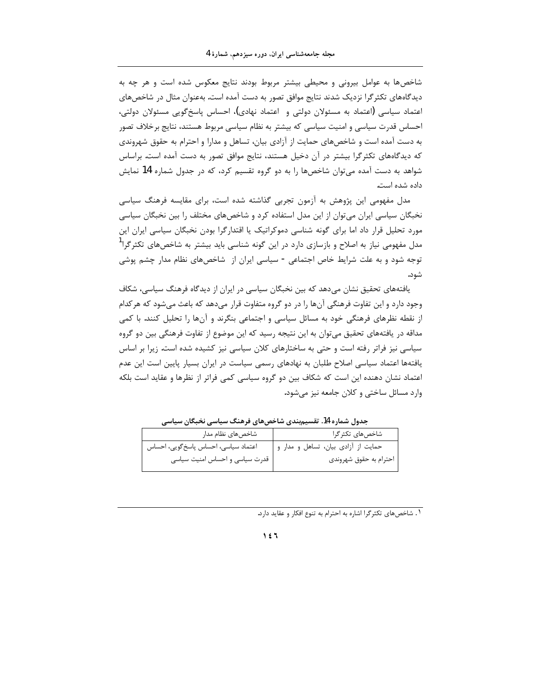شاخصها به عوامل بیرونی و محیطی بیشتر مربوط بودند نتایج معکوس شده است و هر چه به دیدگاههای تکثرگرا نزدیک شدند نتایج موافق تصور به دست آمده است. بهعنوان مثال در شاخصهای اعتماد سیاسی (اعتماد به مسئولان دولتی و اعتماد نهادی)، احساس پاسخ گویی مسئولان دولتی، احساس قدرت سیاسی و امنیت سیاسی که بیشتر به نظام سیاسی مربوط هستند، نتایج برخلاف تصور به دست آمده است و شاخصهای حمایت از آزادی بیان، تساهل و مدارا و احترام به حقوق شهروندی که دیدگاههای تکثرگرا بیشتر در آن دخیل هستند، نتایج موافق تصور به دست آمده است. براساس شواهد به دست آمده می توان شاخصها را به دو گروه تقسیم کرد، که در جدول شماره 14 نمایش داده شده است.

مدل مفهومی این پژوهش به آزمون تجربی گذاشته شده است، برای مقایسه فرهنگ سیاسی نخبگان سیاسی ایران میتوان از این مدل استفاده کرد و شاخصهای مختلف را بین نخبگان سیاسی مورد تحلیل قرار داد اما برای گونه شناسی دموکراتیک یا اقتدارگرا بودن نخبگان سیاسی ایران این مدل مفهومی نیاز به اصلاح و بازسازی دارد در این گونه شناسی باید بیشتر به شاخصهای تکثر گرا<sup>1</sup> توجه شود و به علت شرایط خاص اجتماعی - سیاسی ایران از شاخصهای نظام مدار چشم پوشی شود.

یافتههای تحقیق نشان میدهد که بین نخبگان سیاسی در ایران از دیدگاه فرهنگ سیاسی، شکاف وجود دارد و این تفاوت فرهنگی آنها را در دو گروه متفاوت قرار میدهد که باعث میشود که هرکدام از نقطه نظرهای فرهنگی خود به مسائل سیاسی و اجتماعی بنگرند و آنها را تحلیل کنند. با کمی مداقه در یافتههای تحقیق میتوان به این نتیجه رسید که این موضوع از تفاوت فرهنگی بین دو گروه سیاسی نیز فراتر رفته است و حتی به ساختارهای کلان سیاسی نیز کشیده شده است. زیرا بر اساس یافتهها اعتماد سیاسی اصلاح طلبان به نهادهای رسمی سیاست در ایران بسیار پایین است این عدم اعتماد نشان دهنده این است که شکاف بین دو گروه سیاسی کمی فراتر از نظرها و عقاید است بلکه وارد مسائل ساختی و کلان جامعه نیز می شود.

| شاخصهای نظام مدار                    | شاخصهای تکثر گرا                    |
|--------------------------------------|-------------------------------------|
| اعتماد سیاسی، احساس پاسخ گویی، احساس | حمایت از آزادی بیان، تساهل و مدار و |
| ا قدرت سیاسی و احساس امنیت سیاسی     | احترام به حقوق شهروندى              |

جدول شماره 14. تقسیمبندی شاخصهای فرهنگ سیاسی نخبگان سیاسی

١. شاخص های تکثر گرا اشاره به احترام به تنوع افکار و عقاید دارد.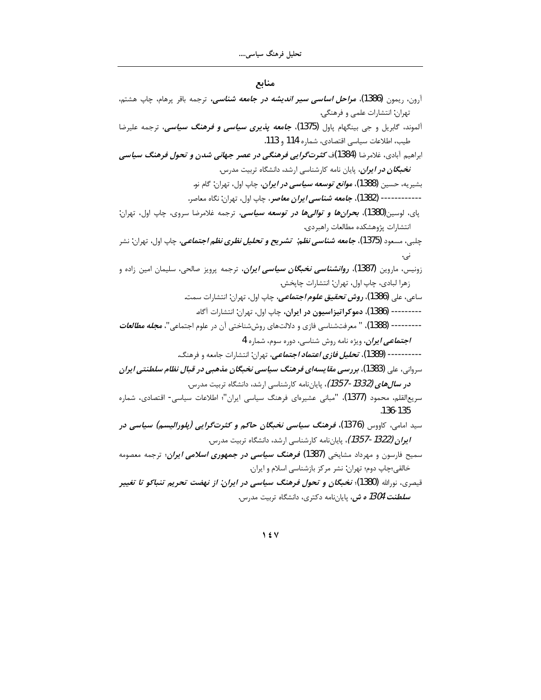منابع

| آرون، ریمون (1386)، <i>مراحل اساسی سیر اندیشه در جامعه شناسی</i> ، ترجمه باقر پرهام، چاپ هشتم،                 |
|----------------------------------------------------------------------------------------------------------------|
| تهران: انتشارات علمي و فرهنگي.                                                                                 |
| آلموند، گابریل و جی بینگهام پاول <b>(1375). <i>جامعه پذیری سیاسی و فرهنگ سیاسی</i>،</b> ترجمه علیرضا           |
| طيب، اطلاعات سياسي اقتصادي، شماره 114 و 113.                                                                   |
| براهیم آبادی، غلامرضا (1384)ف <i>کثرت گرایی فرهنگی در عصر جهانی شدن و تحول فرهنگ سیاسی</i>                     |
| <b>نخبگان <i>در ایران</i>،</b> پایان نامه کارشناسی ارشد، دانشگاه تربیت مدرس.                                   |
| بشیریه، حسین <b>(1388). م<i>وانع توسعه سیاسی در ایرا</i>ن</b> ، چاپ اول، تهران: گام نو.                        |
| ------ (1382 <b>). <i>جامعه شناسي ايران معاصر</i> .</b> چاپ اول، تهران: نگاه معاصر.                            |
| پای، لوسین(1380 <b>). <i>بحرانها و توالیها در توسعه سیاسی</i>،</b> ترجمه غلامرضا سروی، چاپ اول، تهران:         |
| انتشارات پژوهشكده مطالعات راهبردى.                                                                             |
| چلبی، مسعود <b>(1375). <i>جامعه شناسی نظم:  تشریح و تحلیل نظری نظم اجتماعی</i>، چاپ اول، تهران: نشر</b>        |
|                                                                                                                |
| زونیس، ماروین <b>(1387). ر<i>وانشناسی نخبگان سیاسی ایران</i>،</b> ترجمه پرویز صالحی، سلیمان امین زاده و        |
| زهرا لبادي، چاپ اول، تهران: انتشارات چاپخش.                                                                    |
| ساعی، علی <b>(1386). <i>روش تحقیق علوم اجتماعی</i>،</b> چاپ اول، تهران: انتشارات سمت.                          |
| --------- (1386)، <b>دموکراتیزاسیون در ایران،</b> چاپ اول، تهران: انتشارات آگاه.                               |
| ------ (1388 <b>)</b> ، " معرفتشناسي فازي و دلالتهاي روششناختي آن در علوم اجتماعي"، <b>م<i>جله مطالعات</i></b> |
| <i>اجتماعی ایران</i> ، ویژه نامه روش شناسی، دوره سوم، شماره 4                                                  |
| ----- (1389)، <i>تحلیل فازی اعتماد اجتماعی</i> ، تهران: انتشارات جامعه و فرهنگ.                                |
| سروانی، علی (1383)، بررس <i>ی مقا</i> یسه <i>ای فرهنگ سیاسی نخبگان مذهبی در قبال نظام سلطنتی ایران</i>         |
| <b>در س<i>الهای (1332-1357)</i>،</b> پایاننامه کارشناسی ارشد، دانشگاه تربیت مدرس.                              |
| سریعالقلم، محمود (1377)، "مبانی عشیرهای فرهنگ سیاسی ایران"؛ اطلاعات سیاسی- اقتصادی، شماره                      |
| .136-135                                                                                                       |
| <sub>سید امامی، کاووس (1376)، فر<i>هنگ سیاسی نخبگان حاک</i>م <i>و کثرتگرایی (پلورالیسم) سیاسی در</i></sub>     |
| <b>/یران (1322-1357).</b> پایاننامه کارشناسی ارشد، دانشگاه تربیت مدرس.                                         |
| سمیح فارسون و مهرداد مشایخی (1387) <i>فرهنگ سیاسی در جمهوری اسلامی ایران</i> ؛ ترجمه معصومه                    |
| خالقي؛چاپ دوم؛ تهران: نشر مركز بازشناسي اسلام و ايران.                                                         |
| قیصری، نورالله (1380)؛ <i>نخبگان و تحول فرهنگ سیاسی در ایران: از نهضت تحریم تنباکو تا تغیی</i> ر               |
| <b><i>سلطنت 1304 ه ش</i>،</b> پایاننامه دکتری، دانشگاه تربیت مدرس.                                             |
|                                                                                                                |

 $\gamma$  {  $\gamma$